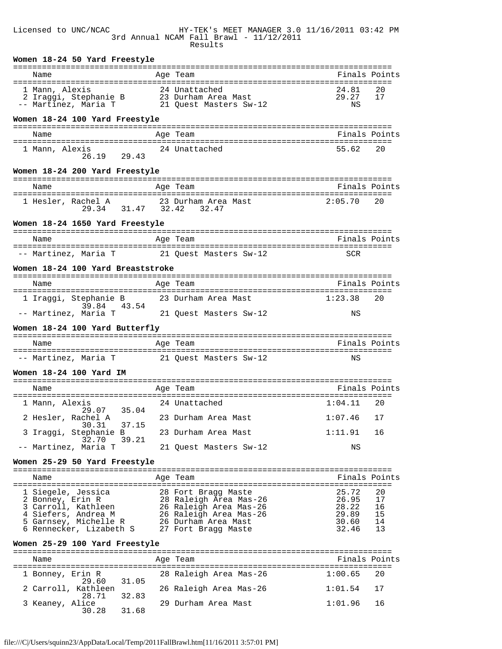#### Licensed to UNC/NCAC HY-TEK's MEET MANAGER 3.0 11/16/2011 03:42 PM 3rd Annual NCAM Fall Brawl - 11/12/2011 Results

| Women 18-24 50 Yard Freestyle                                                                             |                                               |                      |               |
|-----------------------------------------------------------------------------------------------------------|-----------------------------------------------|----------------------|---------------|
| Name                                                                                                      | Age Team                                      | Finals Points        |               |
| 1 Mann, Alexis<br>2 Iraggi, Stephanie B 23 Durham Area Mast<br>- Martinez Marie T<br>-- Martinez, Maria T | 21 Quest Masters Sw-12                        | 24.81<br>29.27<br>ΝS | 20<br>17      |
| Women 18-24 100 Yard Freestyle                                                                            |                                               |                      |               |
| Name                                                                                                      | Age Team                                      | Finals Points        |               |
|                                                                                                           |                                               |                      |               |
| 1 Mann, Alexis<br>26.19<br>29.43                                                                          | 24 Unattached                                 | 55.62                | 20            |
| Women 18-24 200 Yard Freestyle                                                                            |                                               |                      |               |
| Name                                                                                                      | Age Team                                      | Finals Points        |               |
| 1 Hesler, Rachel A<br>29.34 31.47 32.42 32.47                                                             | 23 Durham Area Mast                           | 2:05.70              | 20            |
| Women 18-24 1650 Yard Freestyle                                                                           |                                               |                      |               |
| Name                                                                                                      | Age Team                                      | Finals Points        |               |
| -- Martinez, Maria T                                                                                      | 21 Quest Masters Sw-12                        | <b>SCR</b>           |               |
| Women 18-24 100 Yard Breaststroke                                                                         |                                               |                      |               |
| Name                                                                                                      | Age Team                                      | Finals Points        |               |
| 1 Iraggi, Stephanie B                                                                                     | 23 Durham Area Mast                           | 1:23.38              | 20            |
| 39.84 43.54<br>-- Martinez, Maria T                                                                       | 21 Quest Masters Sw-12                        | ΝS                   |               |
| Women 18-24 100 Yard Butterfly                                                                            |                                               |                      |               |
| Name                                                                                                      | Age Team                                      | Finals Points        |               |
| -- Martinez, Maria T                                                                                      | 21 Quest Masters Sw-12                        | ΝS                   |               |
| Women 18-24 100 Yard IM                                                                                   |                                               |                      |               |
| Name                                                                                                      | Age Team                                      | Finals Points        |               |
|                                                                                                           |                                               |                      |               |
| 1 Mann, Alexis<br>29.07 35.04                                                                             | 24 Unattached                                 | 1:04.11              | 20            |
| 2 Hesler, Rachel A<br>37.15<br>30.31                                                                      | 23 Durham Area Mast                           | 1:07.46              | 17            |
| 3 Iraggi, Stephanie B<br>39.21<br>32.70                                                                   | 23 Durham Area Mast                           | 1:11.91              | 16            |
| -- Martinez, Maria T                                                                                      | 21 Quest Masters Sw-12                        | ΝS                   |               |
| Women 25-29 50 Yard Freestyle                                                                             |                                               |                      |               |
| Name                                                                                                      | Age Team                                      |                      | Finals Points |
| 1 Siegele, Jessica                                                                                        | 28 Fort Bragg Maste                           | 25.72                | 20            |
| 2 Bonney, Erin R                                                                                          | 28 Raleigh Area Mas-26                        | 26.95                | 17            |
| 3 Carroll, Kathleen                                                                                       | 26 Raleigh Area Mas-26                        | 28.22                | 16            |
| 4 Siefers, Andrea M<br>5 Garnsey, Michelle R                                                              | 26 Raleigh Area Mas-26<br>26 Durham Area Mast | 29.89<br>30.60       | 15<br>14      |
| 6 Rennecker, Lizabeth S                                                                                   | 27 Fort Bragg Maste                           | 32.46                | 13            |
| Women 25-29 100 Yard Freestyle                                                                            |                                               |                      |               |
| $M \cap m \cap$                                                                                           | $\lambda$ aa Taam                             |                      | Finale Dointe |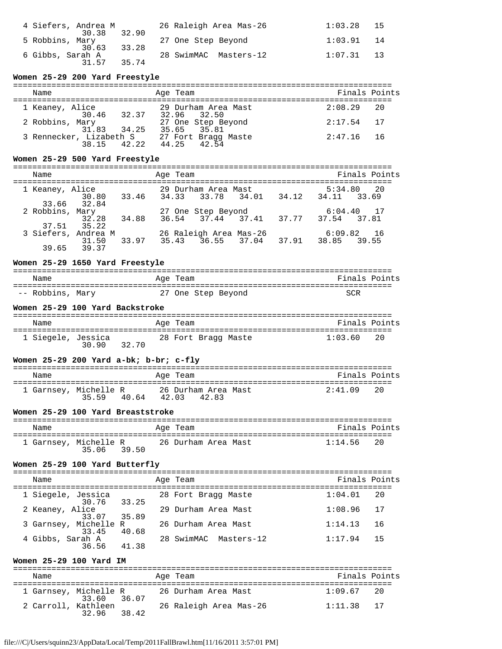| 4 Siefers, Andrea M<br>32.90<br>30.38                | 26 Raleigh Area Mas-26 | 1:03.28<br>- 15                                  |
|------------------------------------------------------|------------------------|--------------------------------------------------|
| 5 Robbins, Mary                                      | 27 One Step Beyond     | 1:03.91<br>$\begin{array}{ccc} & 14 \end{array}$ |
| 33.28<br>30.63<br>6 Gibbs, Sarah A<br>35 74<br>31 57 | 28 SwimMAC Masters-12  | $1:07.31$ 13                                     |

# **Women 25-29 200 Yard Freestyle**

| Name                                      | Age Team                           | Finals Points |
|-------------------------------------------|------------------------------------|---------------|
| 1 Keaney, Alice<br>30.46 32.37            | 29 Durham Area Mast<br>32.96 32.50 | $2:08.29$ 20  |
| 2 Robbins, Mary<br>31.83 34.25            | 27 One Step Beyond<br>35.65 35.81  | $2:17.54$ 17  |
| 3 Rennecker, Lizabeth S<br>42.22<br>38 15 | 27 Fort Bragg Maste<br>44.25 42.54 | $2:47.16$ 16  |

## **Women 25-29 500 Yard Freestyle**

=============================================================================== <del>.</del><br>Finals Points

| wame |                     | Ayc reall               |  |       |              | TIIQID IUIIL |
|------|---------------------|-------------------------|--|-------|--------------|--------------|
|      | 1 Keaney, Alice     | 29 Durham Area Mast     |  |       |              | 5:34.80 20   |
|      | 30.80               | 33.46 34.33 33.78 34.01 |  | 34.12 | 34.11 33.69  |              |
|      | 33.66 32.84         |                         |  |       |              |              |
|      | 2 Robbins, Mary     | 27 One Step Beyond      |  |       | $6:04.40$ 17 |              |
|      | 32.28 34.88         | 36.54 37.44 37.41 37.77 |  |       | 37.54 37.81  |              |
|      | 37.51 35.22         |                         |  |       |              |              |
|      | 3 Siefers, Andrea M | 26 Raleigh Area Mas-26  |  |       | $6:09.82$ 16 |              |
|      | 31.50 33.97         | 35.43 36.55 37.04 37.91 |  |       | 38.85 39.55  |              |
|      | 39.65 39.37         |                         |  |       |              |              |
|      |                     |                         |  |       |              |              |

## **Women 25-29 1650 Yard Freestyle**

| Name             | Age Team           | Finals Points |
|------------------|--------------------|---------------|
| -- Robbins, Mary | 27 One Step Beyond | SCR           |

### **Women 25-29 100 Yard Backstroke**

| Name               |       |       | Age Team |                     | Finals Points |    |
|--------------------|-------|-------|----------|---------------------|---------------|----|
| 1 Siegele, Jessica | 30.90 | 32.70 |          | 28 Fort Bragg Maste | 1:03.60       | 20 |

# **Women 25-29 200 Yard a-bk; b-br; c-fly**

| Name |                                        | Age Team                              | Finals Points |
|------|----------------------------------------|---------------------------------------|---------------|
|      | 1 Garnsey, Michelle R<br>35.59<br>4064 | 26 Durham Area Mast<br>42.83<br>42.03 | 2:41.09<br>20 |

## **Women 25-29 100 Yard Breaststroke**

| Name                  |       |       | Age Team            |  | Finals Points |  |
|-----------------------|-------|-------|---------------------|--|---------------|--|
| 1 Garnsey, Michelle R | 35.06 | 39.50 | 26 Durham Area Mast |  | $1:14.56$ 20  |  |

## **Women 25-29 100 Yard Butterfly**

| Name                              |       | Age Team              | Finals Points |     |
|-----------------------------------|-------|-----------------------|---------------|-----|
| 1 Siegele, Jessica<br>30.76 33.25 |       | 28 Fort Bragg Maste   | 1:04.01       | -20 |
| 2 Keaney, Alice<br>33.07          | 35.89 | 29 Durham Area Mast   | 1:08.96       | 17  |
| 3 Garnsey, Michelle R<br>33.45    | 40.68 | 26 Durham Area Mast   | 1:14.13       | 16  |
| 4 Gibbs, Sarah A<br>36.56         | 41.38 | 28 SwimMAC Masters-12 | 1:17.94       | 15  |

## **Women 25-29 100 Yard IM**

| Name                                 | Age Team                        | Finals Points |
|--------------------------------------|---------------------------------|---------------|
| 1 Garnsey, Michelle R<br>33.60 36.07 | 26 Durham Area Mast             | $1:09.67$ 20  |
| 2 Carroll, Kathleen<br>32.96         | 26 Raleigh Area Mas-26<br>38.42 | $1:11.38$ 17  |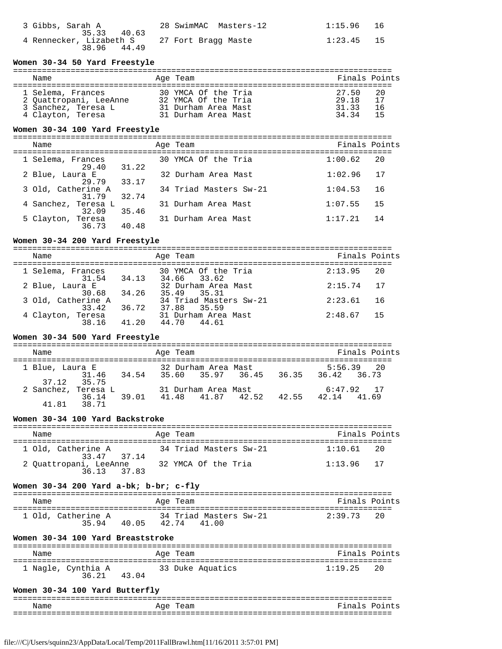| 3 Gibbs, Sarah A                                                          | 28 SwimMAC Masters-12 | 1:15.96 16 |  |
|---------------------------------------------------------------------------|-----------------------|------------|--|
| 35.33 40.63<br>4 Rennecker, Lizabeth S 27 Fort Bragg Maste<br>38.96 44.49 |                       | 1:23.45 15 |  |

#### **Women 30-34 50 Yard Freestyle**

| Name                                                                                    | Age Team                                                                                 | Finals Points                                                  |
|-----------------------------------------------------------------------------------------|------------------------------------------------------------------------------------------|----------------------------------------------------------------|
| 1 Selema, Frances<br>2 Ouattropani, LeeAnne<br>3 Sanchez, Teresa L<br>4 Clayton, Teresa | 30 YMCA Of the Tria<br>32 YMCA Of the Tria<br>31 Durham Area Mast<br>31 Durham Area Mast | 27.50<br>- 20<br>29.18<br>17<br>31.33<br>-16<br>34.34<br>$-15$ |

## **Women 30-34 100 Yard Freestyle**

===============================================================================

| Name                                  | Age Team               | Finals Points |
|---------------------------------------|------------------------|---------------|
| 1 Selema, Frances<br>31.22<br>29.40   | 30 YMCA Of the Tria    | 1:00.62<br>20 |
| 2 Blue, Laura E<br>33.17<br>29.79     | 32 Durham Area Mast    | 1:02.96<br>17 |
| 3 Old, Catherine A<br>32.74<br>31.79  | 34 Triad Masters Sw-21 | 1:04.53<br>16 |
| 4 Sanchez, Teresa L<br>35.46<br>32.09 | 31 Durham Area Mast    | 15<br>1:07.55 |
| 5 Clayton, Teresa<br>40.48<br>36.73   | 31 Durham Area Mast    | 1:17.21<br>14 |

# **Women 30-34 200 Yard Freestyle**

=============================================================================== Finals Points

| 1 Selema, Frances           | 31.54 34.13 | 30 YMCA Of the Tria<br>34.66 33.62    | 2:13.95<br>- 20 |
|-----------------------------|-------------|---------------------------------------|-----------------|
| 2 Blue, Laura E             | 30.68 34.26 | 32 Durham Area Mast<br>35.49 35.31    | $2:15.74$ 17    |
| 3 Old, Catherine A<br>33.42 | 36.72       | 34 Triad Masters Sw-21<br>37.88 35.59 | 2:23.61 16      |
| 4 Clayton, Teresa<br>38 16  | 41.20       | 31 Durham Area Mast<br>44.70 44.61    | $2:48.67$ 15    |

# **Women 30-34 500 Yard Freestyle**

===============================================================================

| Name                |                      |       | Age Team          |                                          |       |                   | Finals Points |
|---------------------|----------------------|-------|-------------------|------------------------------------------|-------|-------------------|---------------|
| 1 Blue, Laura E     |                      |       |                   | 32 Durham Area Mast                      |       |                   | $5:56.39$ 20  |
|                     | 31.46<br>37.12 35.75 | 34.54 | 35.60 35.97 36.45 |                                          |       | 36.35 36.42 36.73 |               |
| 2 Sanchez, Teresa L | 36.14                | 39.01 |                   | 31 Durham Area Mast<br>41.48 41.87 42.52 | 42.55 | 42.14 41.69       | 6:47.92. 17   |
| 41.81               | 38.71                |       |                   |                                          |       |                   |               |

# **Women 30-34 100 Yard Backstroke**

| Name                                  | Age Team               | Finals Points  |
|---------------------------------------|------------------------|----------------|
| 1 Old, Catherine A<br>33.47 37.14     | 34 Triad Masters Sw-21 | 1:10.61<br>2.0 |
| 2 Ouattropani, LeeAnne<br>36.13 37.83 | 32 YMCA Of the Tria    | $1:13.96$ 17   |

## **Women 30-34 200 Yard a-bk; b-br; c-fly**

| Name |                            |       | Age Team |                                 | Finals Points |  |
|------|----------------------------|-------|----------|---------------------------------|---------------|--|
|      | 1 Old, Catherine A<br>3594 | 40.05 | 42.74    | 34 Triad Masters Sw-21<br>41 00 | 2:39.73 20    |  |

# **Women 30-34 100 Yard Breaststroke**

| Name |                             |       | Age Team |                  | Finals Points |  |
|------|-----------------------------|-------|----------|------------------|---------------|--|
|      | 1 Nagle, Cynthia A<br>36.21 | 43 04 |          | 33 Duke Aquatics | $1:19.25$ 20  |  |

# **Women 30-34 100 Yard Butterfly**

| --   | --------------------------------- | . <u>.</u><br>---             |
|------|-----------------------------------|-------------------------------|
| Name | ົຕ≏<br>A                          | –<br>$\sim$ $\sim$<br>~<br>ہں |
| $ -$ |                                   |                               |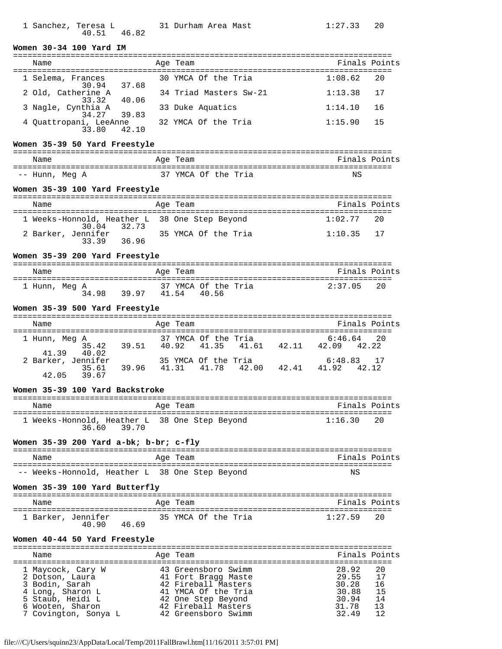| 1 Sanchez, Teresa L |  |             | 31 Durham Area Mas |  |
|---------------------|--|-------------|--------------------|--|
|                     |  | 40.51 46.82 |                    |  |

#### **Women 30-34 100 Yard IM**

| Name                                  | Age Team               | Finals Points  |
|---------------------------------------|------------------------|----------------|
| 1 Selema, Frances<br>30.94 37.68      | 30 YMCA Of the Tria    | 1:08.62<br>-20 |
| 2 Old, Catherine A<br>33.32 40.06     | 34 Triad Masters Sw-21 | 1:13.38<br>17  |
| 3 Nagle, Cynthia A<br>34.27 39.83     | 33 Duke Aquatics       | 1:14.10<br>16  |
| 4 Quattropani, LeeAnne<br>33.80 42.10 | 32 YMCA Of the Tria    | 15<br>1:15.90  |

## **Women 35-39 50 Yard Freestyle**

| Name           | Age Team            | Finals Points |
|----------------|---------------------|---------------|
| -- Hunn, Meg A | 37 YMCA Of the Tria | ΝS            |

# **Women 35-39 100 Yard Freestyle**

| Name                                                         | Age Team            | Finals Points |  |
|--------------------------------------------------------------|---------------------|---------------|--|
| 1 Weeks-Honnold, Heather L 38 One Step Beyond<br>30.04 32.73 |                     | $1:02.77$ 20  |  |
| 2 Barker, Jennifer<br>3339<br>36.96                          | 35 YMCA Of the Tria | $1:10.35$ 17  |  |

# **Women 35-39 200 Yard Freestyle**

| Name          |                | Age Team                              | Finals Points |
|---------------|----------------|---------------------------------------|---------------|
| 1 Hunn, Meg A | 34.98<br>39.97 | 37 YMCA Of the Tria<br>41 54<br>40.56 | 2:37 05<br>20 |

## **Women 35-39 500 Yard Freestyle**

| Name                                          |       | Age Team |                                          |       | Finals Points               |
|-----------------------------------------------|-------|----------|------------------------------------------|-------|-----------------------------|
| 1 Hunn, Meg A<br>35.42 39.51<br>41.39 40.02   |       |          | 37 YMCA Of the Tria<br>40.92 41.35 41.61 | 42.11 | $6:46.64$ 20<br>42.09 42.22 |
| 2 Barker, Jennifer<br>35.61<br>39 67<br>42 05 | 39.96 |          | 35 YMCA Of the Tria<br>41.31 41.78 42.00 | 42.41 | 6:48.83 17<br>41.92. 42.12  |

## **Women 35-39 100 Yard Backstroke**

| Name  | Age Team                                               | Finals Points |
|-------|--------------------------------------------------------|---------------|
| 36.60 | 1 Weeks-Honnold, Heather L 38 One Step Beyond<br>39.70 | 1:16.30<br>20 |

## **Women 35-39 200 Yard a-bk; b-br; c-fly**

| Name                                           |  | Age Team | Finals Points |  |
|------------------------------------------------|--|----------|---------------|--|
| -- Weeks-Honnold, Heather L 38 One Step Beyond |  |          | ΝS            |  |

## **Women 35-39 100 Yard Butterfly**

| Name               |       |       | Age Team |                     | Finals Points |    |
|--------------------|-------|-------|----------|---------------------|---------------|----|
| 1 Barker, Jennifer | 40.90 | 46 69 |          | 35 YMCA Of the Tria | 1:27.59       | 20 |

## **Women 40-44 50 Yard Freestyle**

| Name                                                                                                                                       | Age Team                                                                                                                                                     | Finals Points                                                                                          |
|--------------------------------------------------------------------------------------------------------------------------------------------|--------------------------------------------------------------------------------------------------------------------------------------------------------------|--------------------------------------------------------------------------------------------------------|
| 1 Maycock, Cary W<br>2 Dotson, Laura<br>3 Bodin, Sarah<br>4 Long, Sharon L<br>5 Staub, Heidi L<br>6 Wooten, Sharon<br>7 Covington, Sonya L | 43 Greensboro Swimm<br>41 Fort Bragg Maste<br>42 Fireball Masters<br>41 YMCA Of the Tria<br>42 One Step Beyond<br>42 Fireball Masters<br>42 Greensboro Swimm | 28.92<br>-20<br>17<br>29.55<br>30.28<br>16<br>30.88<br>15<br>30.94<br>14<br>13<br>31.78<br>32 49<br>12 |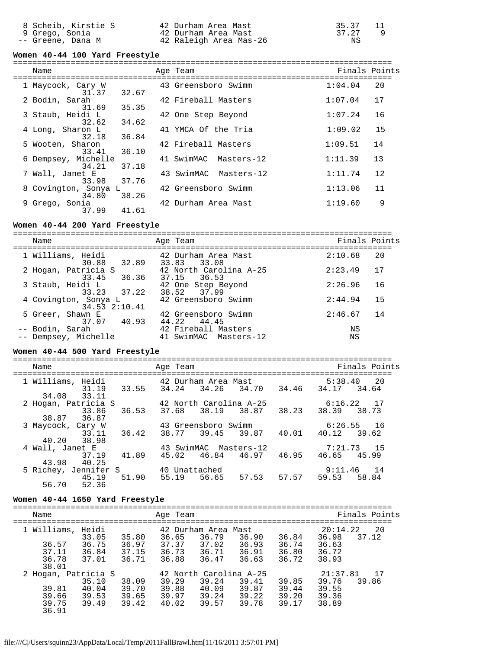8 Scheib, Kirstie S 42 Durham Area Mast 35.37 11 9 Grego, Sonia 42 Durham Area Mast 37.27 9 -- Greene, Dana M 42 Raleigh Area Mas-26 NS

#### **Women 40-44 100 Yard Freestyle**

===============================================================================

| Name                          |       | Age Team              | Finals Points |    |
|-------------------------------|-------|-----------------------|---------------|----|
| 1 Maycock, Cary W<br>31.37    | 32.67 | 43 Greensboro Swimm   | 1:04.04       | 20 |
| 2 Bodin, Sarah<br>31.69       | 35.35 | 42 Fireball Masters   | 1:07.04       | 17 |
| 3 Staub, Heidi L<br>32.62     | 34.62 | 42 One Step Beyond    | 1:07.24       | 16 |
| 4 Long, Sharon L<br>32.18     | 36.84 | 41 YMCA Of the Tria   | 1:09.02       | 15 |
| 5 Wooten, Sharon<br>33.41     | 36.10 | 42 Fireball Masters   | 1:09.51       | 14 |
| 6 Dempsey, Michelle<br>34.21  | 37.18 | 41 SwimMAC Masters-12 | 1:11.39       | 13 |
| 7 Wall, Janet E<br>33.98      | 37.76 | 43 SwimMAC Masters-12 | 1:11.74       | 12 |
| 8 Covington, Sonya L<br>34.80 | 38.26 | 42 Greensboro Swimm   | 1:13.06       | 11 |
| 9 Grego, Sonia<br>37.99       | 41.61 | 42 Durham Area Mast   | 1:19.60       | 9  |

## **Women 40-44 200 Yard Freestyle**

=============================================================================== Name Age Team Finals Points =============================================================================== 1 Williams, Heidi 42 Durham Area Mast 2:10.68 20 30.88 32.89 33.83 33.08 2 Hogan, Patricia S 42 North Carolina A-25 2:23.49 17  $33.45$   $36.36$   $37.15$   $36.53$  3 Staub, Heidi L 42 One Step Beyond 2:26.96 16  $33.23$   $37.22$   $38.52$   $37.99$ 4 Covington, Sonya L<sub>1</sub>, 42 Greensboro Swimm 2:44.94 15  $34.53$   $2:10.41$ 5 Greer, Shawn E 1, 2008 42 Greensboro Swimm 2:46.67 14  $37.07$   $40.93$   $44.22$   $44.45$ -- Bodin, Sarah 12 Fireball Masters NS -- Dempsey, Michelle 41 SwimMAC Masters-12 NS

## **Women 40-44 500 Yard Freestyle**

| Name                                              | Age Team                                  | Finals Points     |
|---------------------------------------------------|-------------------------------------------|-------------------|
| 1 Williams, Heidi             42 Durham Area Mast |                                           | 5:38.40 20        |
| 33.55<br>31.19                                    | 34.26 34.70<br>34.24                      | 34.46 34.17 34.64 |
| 34.08 33.11                                       |                                           |                   |
| 2 Hogan, Patricia S                               | 42 North Carolina A-25                    | 6:16.22 17        |
| 33.86                                             | 36.53 37.68 38.19 38.87 38.23 38.39 38.73 |                   |
| 38.87 36.87                                       |                                           |                   |
| 3 Maycock, Cary W                                 | 43 Greensboro Swimm                       | $6:26.55$ 16      |
| 33.11 36.42                                       | 38.77 39.45 39.87 40.01 40.12 39.62       |                   |
| 40.20 38.98                                       |                                           |                   |
| 4 Wall, Janet E                                   | 43 SwimMAC Masters-12                     | 7:21.73 15        |
| 41.89<br>37.19                                    | 45.02 46.84 46.97 46.95                   | 46.65 45.99       |
| 43.98 40.25                                       |                                           |                   |
| 5 Richey, Jennifer S           40 Unattached      |                                           | 9:11.46 14        |
| 45.19<br>51.90                                    | 56.65 57.53 57.57<br>55.19                | 59.53<br>58.84    |
| 56.70 52.36                                       |                                           |                   |

#### **Women 40-44 1650 Yard Freestyle**

| Name                                  |                                  |                                  | Age Team                         |                                                |                                  |                                  | Finals Points                                      |
|---------------------------------------|----------------------------------|----------------------------------|----------------------------------|------------------------------------------------|----------------------------------|----------------------------------|----------------------------------------------------|
| 1 Williams,<br>36.57<br>37.11         | Heidi<br>33.05<br>36.75<br>36.84 | 35.80<br>36.97<br>37.15          | 36.65<br>37.37<br>36.73          | 42 Durham Area Mast<br>36.79<br>37.02<br>36.71 | 36.90<br>36.93<br>36.91          | 36.84<br>36.74<br>36.80          | 20<br>20:14.22<br>36.98<br>37.12<br>36.63<br>36.72 |
| 36.78<br>38.01<br>2 Hogan, Patricia S | 37.01                            | 36.71                            | 36.88                            | 36.47<br>42 North Carolina A-25                | 36.63                            | 36.72                            | 38.93<br>21:37.81<br>-17                           |
| 39.81<br>39.66<br>39.75<br>36.91      | 35.10<br>40.04<br>39.53<br>39.49 | 38.09<br>39.70<br>39.65<br>39.42 | 39.29<br>39.88<br>39.97<br>40.02 | 39.24<br>40.09<br>39.24<br>39.57               | 39.41<br>39.87<br>39.22<br>39.78 | 39.85<br>39.44<br>39.20<br>39.17 | 39.76<br>39.86<br>39.55<br>39.36<br>38.89          |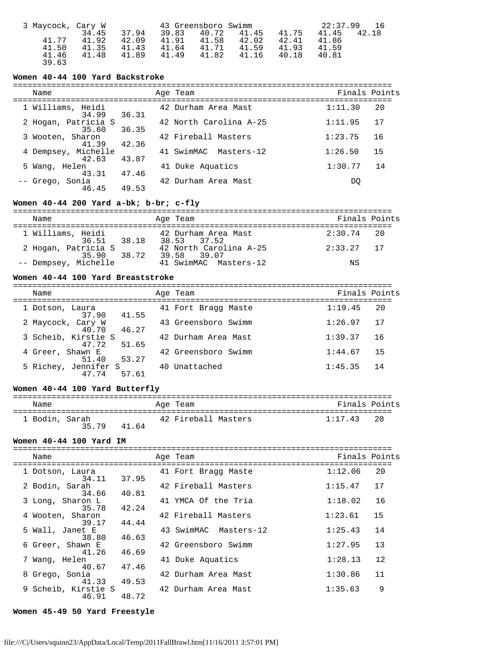| 3 Maycock, Cary W |       |       |       | 43 Greensboro Swimm |       |       | 22:37.99 | -16   |
|-------------------|-------|-------|-------|---------------------|-------|-------|----------|-------|
|                   | 34.45 | 37.94 | 39.83 | 40.72               | 41.45 | 41.75 | 41.45    | 42.18 |
| 41.77             | 41.92 | 42.09 | 41.91 | 41.58               | 42.02 | 42.41 | 41.86    |       |
| 41.50             | 41.35 | 41.43 | 41.64 | 41.71               | 41.59 | 41.93 | 41.59    |       |
| 41.46             | 41.48 | 41.89 | 41.49 | 41.82               | 41.16 | 40.18 | 40.81    |       |
| 39.63             |       |       |       |                     |       |       |          |       |

# **Women 40-44 100 Yard Backstroke**

| Name                         |       | Age Team               | Finals Points |    |
|------------------------------|-------|------------------------|---------------|----|
| 1 Williams, Heidi<br>34.99   | 36.31 | 42 Durham Area Mast    | 1:11.30       | 20 |
| 2 Hogan, Patricia S<br>35.60 | 36.35 | 42 North Carolina A-25 | 1:11.95       | 17 |
| 3 Wooten, Sharon<br>41.39    | 42.36 | 42 Fireball Masters    | 1:23.75       | 16 |
| 4 Dempsey, Michelle<br>42.63 | 43.87 | 41 SwimMAC Masters-12  | 1:26.50       | 15 |
| 5 Wang, Helen<br>43.31       | 47.46 | 41 Duke Aquatics       | 1:30.77       | 14 |
| -- Grego, Sonia<br>46.45     | 49.53 | 42 Durham Area Mast    | DO            |    |

# **Women 40-44 200 Yard a-bk; b-br; c-fly**

| Name                                  | Age Team                              | Finals Points |
|---------------------------------------|---------------------------------------|---------------|
| 1 Williams, Heidi<br>38.18<br>36.51   | 42 Durham Area Mast<br>38.53 37.52    | $2:30.74$ 20  |
| 2 Hogan, Patricia S<br>35.90<br>38.72 | 42 North Carolina A-25<br>39.58 39.07 | $2:33.27$ 17  |
| -- Dempsey, Michelle                  | 41 SwimMAC Masters-12                 | ΝS            |

## **Women 40-44 100 Yard Breaststroke**

| Name                                   | Age Team            | Finals Points  |
|----------------------------------------|---------------------|----------------|
| 1 Dotson, Laura<br>41.55<br>37.90      | 41 Fort Bragg Maste | 1:19.45<br>20  |
| 2 Maycock, Cary W<br>46.27<br>40.70    | 43 Greensboro Swimm | 1:26.97<br>-17 |
| 3 Scheib, Kirstie S<br>51.65<br>47.72  | 42 Durham Area Mast | 1:39.37<br>16  |
| 4 Greer, Shawn E<br>53.27<br>51.40     | 42 Greensboro Swimm | 1:44.67<br>15  |
| 5 Richey, Jennifer S<br>57.61<br>47 74 | 40 Unattached       | 1:45.35<br>14  |

## **Women 40-44 100 Yard Butterfly**

| Name           |       |       | Age Team            | Finals Points |    |
|----------------|-------|-------|---------------------|---------------|----|
| 1 Bodin, Sarah | 35 79 | 41 64 | 42 Fireball Masters | 1:17.43       | 20 |

## **Women 40-44 100 Yard IM**

| Name<br>------------------   |       | Age Team              | Finals Points |    |
|------------------------------|-------|-----------------------|---------------|----|
| 1 Dotson, Laura<br>34.11     | 37.95 | 41 Fort Bragg Maste   | 1:12.06       | 20 |
| 2 Bodin, Sarah<br>34.66      | 40.81 | 42 Fireball Masters   | 1:15.47       | 17 |
| 3 Long, Sharon L<br>35.78    | 42.24 | 41 YMCA Of the Tria   | 1:18.02       | 16 |
| 4 Wooten, Sharon<br>39.17    | 44.44 | 42 Fireball Masters   | 1:23.61       | 15 |
| 5 Wall, Janet E<br>38.80     | 46.63 | 43 SwimMAC Masters-12 | 1:25.43       | 14 |
| 6 Greer, Shawn E<br>41.26    | 46.69 | 42 Greensboro Swimm   | 1:27.95       | 13 |
| 7 Wang, Helen<br>40.67 47.46 |       | 41 Duke Aquatics      | 1:28.13       | 12 |
| 8 Grego, Sonia<br>41.33      | 49.53 | 42 Durham Area Mast   | 1:30.86       | 11 |
| 9 Scheib, Kirstie S<br>46.91 | 48.72 | 42 Durham Area Mast   | 1:35.63       | 9  |

## **Women 45-49 50 Yard Freestyle**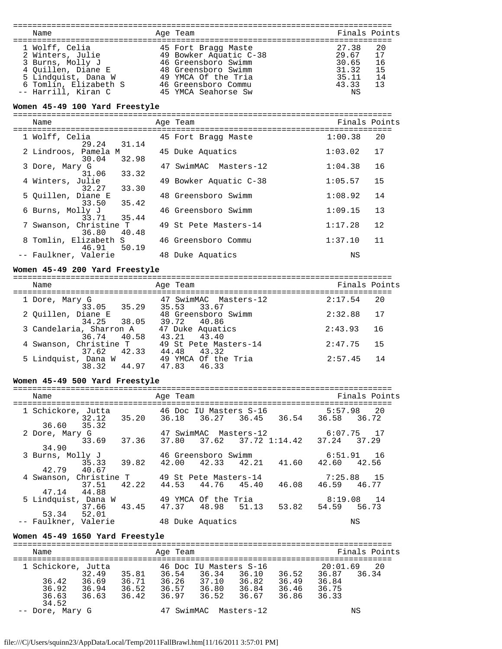| Name                                                                                                                                                | Age Team                                                                                                                                                         | Finals Points                                                                                    |
|-----------------------------------------------------------------------------------------------------------------------------------------------------|------------------------------------------------------------------------------------------------------------------------------------------------------------------|--------------------------------------------------------------------------------------------------|
| 1 Wolff, Celia<br>2 Winters, Julie<br>3 Burns, Molly J<br>4 Ouillen, Diane E<br>5 Lindquist, Dana W<br>6 Tomlin, Elizabeth S<br>-- Harrill, Kiran C | 45 Fort Bragg Maste<br>49 Bowker Aquatic C-38<br>46 Greensboro Swimm<br>48 Greensboro Swimm<br>49 YMCA Of the Tria<br>46 Greensboro Commu<br>45 YMCA Seahorse Sw | 27.38<br>20<br>17<br>29.67<br>30.65<br>- 16<br>31.32<br>15<br>35.11<br>- 14<br>43.33<br>13<br>ΝS |

# **Women 45-49 100 Yard Freestyle**

| Name                                     | Age Team               | Finals Points |    |
|------------------------------------------|------------------------|---------------|----|
| 1 Wolff, Celia<br>29.24 31.14            | 45 Fort Bragg Maste    | 1:00.38       | 20 |
| 2 Lindroos, Pamela M<br>32.98<br>30.04   | 45 Duke Aquatics       | 1:03.02       | 17 |
| 3 Dore, Mary G<br>33.32<br>31.06         | 47 SwimMAC Masters-12  | 1:04.38       | 16 |
| 4 Winters, Julie<br>33.30<br>32.27       | 49 Bowker Aquatic C-38 | 1:05.57       | 15 |
| 5 Ouillen, Diane E<br>35.42<br>33.50     | 48 Greensboro Swimm    | 1:08.92       | 14 |
| 6 Burns, Molly J<br>33.71 35.44          | 46 Greensboro Swimm    | 1:09.15       | 13 |
| 7 Swanson, Christine T<br>36.80<br>40.48 | 49 St Pete Masters-14  | 1:17.28       | 12 |
| 8 Tomlin, Elizabeth S<br>46.91 50.19     | 46 Greensboro Commu    | 1:37.10       | 11 |
| -- Faulkner, Valerie                     | 48 Duke Aquatics       | ΝS            |    |

## **Women 45-49 200 Yard Freestyle**

=============================================================================== Finals Points

| 1 Dore, Mary G<br>33.05 35.29          | 47 SwimMAC Masters-12<br>35.53 33.67  | 20<br>2:17.54 |
|----------------------------------------|---------------------------------------|---------------|
| 2 Ouillen, Diane E                     | 48 Greensboro Swimm                   | 17<br>2:32.88 |
| 34.25 38.05<br>3 Candelaria, Sharron A | 39.72 40.86<br>47 Duke Aquatics       | 2:43.93<br>16 |
| 36.74 40.58<br>4 Swanson, Christine T  | 43.21 43.40<br>49 St Pete Masters-14  | 2:47.75<br>15 |
| 37.62 42.33<br>5 Lindquist, Dana W     | 44.48<br>43.32<br>49 YMCA Of the Tria | 14<br>2:57.45 |
| 38.32 44.97                            | 47.83 46.33                           |               |

# **Women 45-49 500 Yard Freestyle**

| Name                                         | Age Team                                                                                                                            | Finals Points |
|----------------------------------------------|-------------------------------------------------------------------------------------------------------------------------------------|---------------|
|                                              |                                                                                                                                     |               |
|                                              | 1 Schickore, Jutta             46 Doc IU Masters S-16               5:57.98   20<br>32.12 35.20 36.18 36.27 36.45 36.54 36.58 36.72 |               |
| 36.60 35.32                                  |                                                                                                                                     |               |
| 2 Dore, Mary G                               | 47 SwimMAC Masters-12 6:07.75 17                                                                                                    |               |
| 33.69 37.36<br>34.90                         | 37.80 37.62 37.72 1:14.42 37.24 37.29                                                                                               |               |
|                                              | 3 Burns, Molly J                 46 Greensboro Swimm                       6:51.91     16                                           |               |
|                                              |                                                                                                                                     |               |
| 35.33 39.82<br>42.79 40.67                   | 42.00 42.33 42.21 41.60 42.60 42.56                                                                                                 |               |
| 4 Swanson, Christine T 49 St Pete Masters-14 |                                                                                                                                     | 7:25.88 15    |
| 37.51 42.22                                  | 44.53 44.76 45.40<br>46.08                                                                                                          | 46.59 46.77   |
| 47.14 44.88                                  |                                                                                                                                     |               |
| 5 Lindquist, Dana W 49 YMCA Of the Tria      |                                                                                                                                     | $8:19.08$ 14  |
| 37.66 43.45                                  | 47.37 48.98 51.13<br>53.82 54.59                                                                                                    | 56.73         |
| 53.34 52.01                                  |                                                                                                                                     |               |
| -- Faulkner, Valerie                         | 48 Duke Aquatics                                                                                                                    | ΝS            |

# **Women 45-49 1650 Yard Freestyle**

| Name                                                                                       | Age Team                                                                                                                           |                                                                      | Finals Points                                                |
|--------------------------------------------------------------------------------------------|------------------------------------------------------------------------------------------------------------------------------------|----------------------------------------------------------------------|--------------------------------------------------------------|
| 1 Schickore, Jutta<br>32.49<br>36.42<br>36.69<br>36.92<br>36.94<br>36.63<br>36.63<br>34.52 | 46 Doc IU Masters S-16<br>36.54<br>36.34<br>35.81<br>36.71<br>36.26<br>37.10<br>36.57<br>36.52<br>36.80<br>36.97<br>36.52<br>36.42 | 36.10<br>36.52<br>36.82<br>36.49<br>36.84<br>36.46<br>36.67<br>36.86 | 20:01.69<br>-20<br>36.87<br>36.34<br>36.84<br>36.75<br>36.33 |
| -- Dore, Mary G                                                                            | 47 SwimMAC Masters-12                                                                                                              |                                                                      | ΝS                                                           |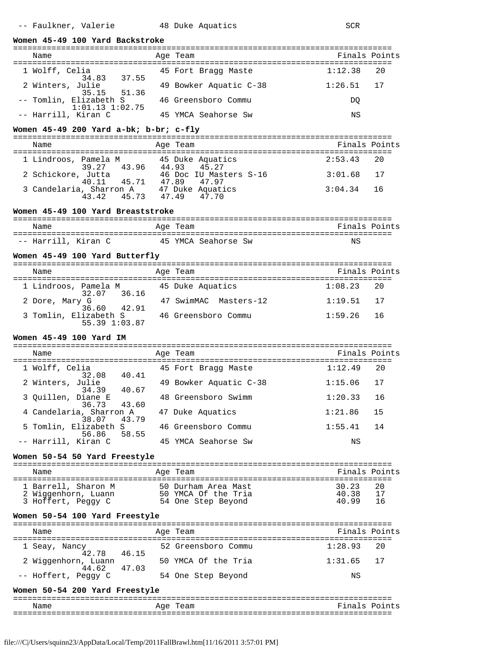| Women 45-49 100 Yard Backstroke                                                           |  |                                                                                                                                              |                            |  |
|-------------------------------------------------------------------------------------------|--|----------------------------------------------------------------------------------------------------------------------------------------------|----------------------------|--|
| Name                                                                                      |  | Age Team                                                                                                                                     | Finals Points              |  |
| 1 Wolff, Celia<br>34.83 37.55                                                             |  | 45 Fort Bragg Maste                                                                                                                          | 1:12.38<br>20              |  |
| 2 Winters, Julie<br>35.15 51.36                                                           |  | 49 Bowker Aquatic C-38                                                                                                                       | 1:26.51<br>17              |  |
| -- Tomlin, Elizabeth S 46 Greensboro Commu<br>$1:01.13$ $1:02.75$                         |  |                                                                                                                                              | DO.                        |  |
| -- Harrill, Kiran C                                                                       |  | 45 YMCA Seahorse Sw                                                                                                                          | ΝS                         |  |
| Women $45-49$ 200 Yard a-bk; b-br; c-fly                                                  |  |                                                                                                                                              |                            |  |
| Name                                                                                      |  | Age Team                                                                                                                                     | Finals Points              |  |
| 1 Lindroos, Pamela M<br>39.27 43.96 44.93 45.27<br>2 Cabialasse 7.44.96 46.000 TH. Markov |  |                                                                                                                                              | 2:53.43<br>20              |  |
|                                                                                           |  |                                                                                                                                              | 3:01.68<br>17              |  |
|                                                                                           |  | 2 Schickore, Jutta 146 Doc IU Masters S-16<br>40.11 45.71 47.89 47.97<br>3 Candelaria, Sharron A 47 Duke Aquatics<br>43.42 45.73 47.49 47.70 | 3:04.34<br>16              |  |
|                                                                                           |  |                                                                                                                                              |                            |  |
| Women 45-49 100 Yard Breaststroke                                                         |  |                                                                                                                                              |                            |  |
| Name                                                                                      |  | Age Team                                                                                                                                     | Finals Points              |  |
| -- Harrill, Kiran C                                                                       |  | 45 YMCA Seahorse Sw                                                                                                                          | ΝS                         |  |
| Women 45-49 100 Yard Butterfly                                                            |  |                                                                                                                                              |                            |  |
| Name                                                                                      |  | Age Team                                                                                                                                     | Finals Points              |  |
| 1 Lindroos, Pamela M 45 Duke Aquatics                                                     |  |                                                                                                                                              | 1:08.23<br>20              |  |
| 32.07 36.16<br>2 Dore, Mary G<br>36.60 42.91                                              |  | 47 SwimMAC Masters-12                                                                                                                        | $1:19.51$ 17               |  |
| 3 Tomlin, Elizabeth S 46 Greensboro Commu<br>55.39 1:03.87                                |  |                                                                                                                                              | 1:59.26<br>16              |  |
| Women 45-49 100 Yard IM                                                                   |  |                                                                                                                                              |                            |  |
| Name                                                                                      |  | Age Team                                                                                                                                     | Finals Points              |  |
| 1 Wolff, Celia                                                                            |  | 45 Fort Bragg Maste                                                                                                                          | 1:12.49<br>20              |  |
| 32.08 40.41<br>2 Winters, Julie<br>34.39 40.67                                            |  | 49 Bowker Aquatic C-38                                                                                                                       | 1:15.06<br>17              |  |
| 3 Quillen, Diane E                                                                        |  | 48 Greensboro Swimm                                                                                                                          | 1:20.33 16                 |  |
| 36.73<br>43.60<br>4 Candelaria, Sharron A<br>43.79<br>38.07                               |  | 47 Duke Aquatics                                                                                                                             | 1:21.86<br>15              |  |
| 5 Tomlin, Elizabeth S<br>58.55<br>56.86                                                   |  | 46 Greensboro Commu                                                                                                                          | 1:55.41<br>14              |  |
| -- Harrill, Kiran C                                                                       |  | 45 YMCA Seahorse Sw                                                                                                                          | ΝS                         |  |
| Women 50-54 50 Yard Freestyle                                                             |  |                                                                                                                                              |                            |  |
| Name                                                                                      |  | Age Team                                                                                                                                     | Finals Points              |  |
| 1 Barrell, Sharon M                                                                       |  |                                                                                                                                              | 30.23<br>20                |  |
| 2 Wiggenhorn, Luann<br>3 Hoffert, Peggy C                                                 |  | 50 Durham Area Mast<br>50 YMCA Of the Tria<br>54 One Step Beyond                                                                             | 40.38<br>17<br>40.99<br>16 |  |
| Women 50-54 100 Yard Freestyle                                                            |  |                                                                                                                                              |                            |  |
| Name                                                                                      |  | Age Team                                                                                                                                     | Finals Points              |  |
| 1 Seay, Nancy                                                                             |  | 52 Greensboro Commu                                                                                                                          | 1:28.93<br>20              |  |
| 46.15<br>42.78<br>2 Wiqqenhorn, Luann                                                     |  | 50 YMCA Of the Tria                                                                                                                          | 17<br>1:31.65              |  |
| 44.62<br>47.03<br>-- Hoffert, Peggy C                                                     |  | 54 One Step Beyond                                                                                                                           | ΝS                         |  |

# **Women 50-54 200 Yard Freestyle**

| __<br>__ |                 | ----           |
|----------|-----------------|----------------|
| Name     | $\sim$<br>- 14. | –<br>ロートへ<br>c |
| ___      |                 |                |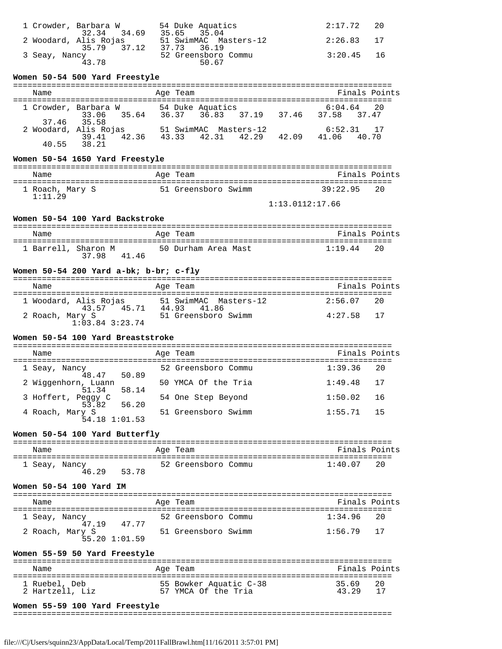| 1 Crowder, Barbara W<br>32.34 34.69      | 54 Duke Aquatics<br>35.65 35.04             | $2:17.72$ 20 |  |
|------------------------------------------|---------------------------------------------|--------------|--|
| 2 Woodard, Alis Rojas                    | 51 SwimMAC Masters-12                       | $2:26.83$ 17 |  |
| 35.79<br>37.12<br>3 Seay, Nancy<br>43 78 | 37.73 36.19<br>52 Greensboro Commu<br>50.67 | $3:20.45$ 16 |  |

# **Women 50-54 500 Yard Freestyle**

| Name  |                                     | Age Team                              | Finals Points                     |
|-------|-------------------------------------|---------------------------------------|-----------------------------------|
|       | 1 Crowder, Barbara W<br>33.06 35.64 | 54 Duke Aquatics<br>36.37 36.83 37.19 | $6:04.64$ 20<br>37.46 37.58 37.47 |
|       | 37.46 35.58                         |                                       |                                   |
|       | 2 Woodard, Alis Rojas               | 51 SwimMAC Masters-12                 | $6:52.31$ 17                      |
| 40.55 | 39.41 42.36<br>38.21                | 43.33 42.31 42.29<br>42.09            | 41.06 40.70                       |

## **Women 50-54 1650 Yard Freestyle**

| Name                           | Age Team            | Finals Points   |
|--------------------------------|---------------------|-----------------|
| 1 Roach, Mary S<br>$1:11 \t29$ | 51 Greensboro Swimm | 39:22.95<br>2.0 |
|                                |                     | 1:13.0112:17.66 |

## **Women 50-54 100 Yard Backstroke**

| Name                | Age Team            | Finals Points |
|---------------------|---------------------|---------------|
| 1 Barrell, Sharon M | 50 Durham Area Mast | 20            |
| 37.98               | 4146                | 1:19.44       |

## **Women 50-54 200 Yard a-bk; b-br; c-fly**

| Name                                    | Age Team                             | Finals Points  |
|-----------------------------------------|--------------------------------------|----------------|
| 1 Woodard, Alis Rojas<br>45 71<br>43 57 | 51 SwimMAC Masters-12<br>44.93 41.86 | 2:56.07<br>2.0 |
| 2 Roach, Mary S<br>$1:03.84$ $3:23.74$  | 51 Greensboro Swimm                  | 4:27.58 17     |

# **Women 50-54 100 Yard Breaststroke**

| Name                                  | Age Team            | Finals Points   |
|---------------------------------------|---------------------|-----------------|
| 1 Seay, Nancy<br>48.47 50.89          | 52 Greensboro Commu | $1:39.36$ 20    |
| 2 Wiggenhorn, Luann<br>51.34<br>58.14 | 50 YMCA Of the Tria | $1:49.48$ 17    |
| 3 Hoffert, Peqqy C<br>53.82 56.20     | 54 One Step Beyond  | 1:50.02<br>- 16 |
| 4 Roach, Mary S<br>54.18 1:01.53      | 51 Greensboro Swimm | 15<br>1:55.71   |

#### **Women 50-54 100 Yard Butterfly**

| Name          | Age Team            | Finals Points |
|---------------|---------------------|---------------|
| 1 Seay, Nancy | 52 Greensboro Commu | $1:40$ $07$   |
| 46.29         | 53.78               | 20            |

#### **Women 50-54 100 Yard IM**

| Name                             | Age Team                     | Finals Points |
|----------------------------------|------------------------------|---------------|
| 1 Seay, Nancy<br>47 19           | 52 Greensboro Commu<br>47.77 | $1:34.96$ 20  |
| 2 Roach, Mary S<br>55.20 1:01.59 | 51 Greensboro Swimm          | $1:56.79$ 17  |

## **Women 55-59 50 Yard Freestyle**

| Name                             | Age Team                                      | Finals Points          |
|----------------------------------|-----------------------------------------------|------------------------|
| 1 Ruebel, Deb<br>2 Hartzell, Liz | 55 Bowker Aquatic C-38<br>57 YMCA Of the Tria | 35 69<br>- 20<br>43 29 |

## **Women 55-59 100 Yard Freestyle**

===============================================================================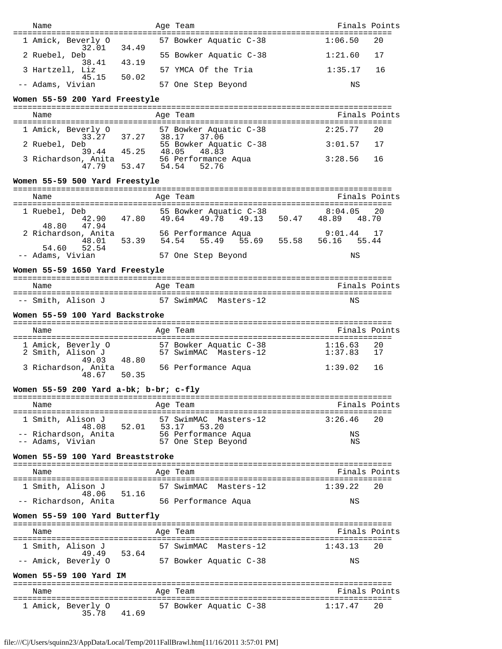| Name                                                      |                   | Age Team                                                 | Finals Points                         |               |
|-----------------------------------------------------------|-------------------|----------------------------------------------------------|---------------------------------------|---------------|
| ===================================<br>1 Amick, Beverly O |                   | 57 Bowker Aquatic C-38                                   | 1:06.50                               | 20            |
| 32.01<br>2 Ruebel, Deb                                    | 34.49             | 55 Bowker Aquatic C-38                                   | 1:21.60                               | 17            |
| 38.41<br>3 Hartzell, Liz                                  | 43.19             | 57 YMCA Of the Tria                                      | 1:35.17                               | 16            |
| 45.15<br>-- Adams, Vivian                                 | 50.02             | 57 One Step Beyond                                       | ΝS                                    |               |
| Women 55-59 200 Yard Freestyle                            |                   |                                                          |                                       |               |
| Name                                                      |                   | Age Team                                                 | Finals Points                         |               |
|                                                           |                   |                                                          |                                       |               |
| 1 Amick, Beverly O                                        |                   | erly 0 57 Bowker Aquatic C-38<br>33.27 37.27 38.17 37.06 | 2:25.77                               | 20            |
| 2 Ruebel, Deb                                             | 39.44 45.25 48.05 | 55 Bowker Aquatic C-38<br>48.83                          | 3:01.57                               | 17            |
| 3 Richardson, Anita                                       | 47.79 53.47 54.54 | 56 Performance Aqua<br>52.76                             | 3:28.56                               | 16            |
| Women 55-59 500 Yard Freestyle                            |                   |                                                          |                                       |               |
| Name                                                      |                   | Age Team                                                 | Finals Points                         |               |
| 1 Ruebel, Deb                                             |                   | 55 Bowker Aquatic C-38                                   | 8:04.05                               | 20            |
| 42.90<br>47.94<br>48.80                                   | 47.80 49.64       | 49.78                                                    | 49.13 50.47 48.89 48.70               |               |
| 2 Richardson, Anita<br>48.01                              | 53.39             | 56 Performance Aqua<br>54.54<br>55.49                    | 9:01.44<br>55.69 55.58 56.16<br>55.44 | 17            |
| 52.54<br>54.60<br>-- Adams, Vivian                        |                   | 57 One Step Beyond                                       | ΝS                                    |               |
| Women 55-59 1650 Yard Freestyle                           |                   |                                                          |                                       |               |
| Name                                                      |                   | Age Team                                                 | Finals Points                         |               |
|                                                           |                   |                                                          |                                       |               |
| -- Smith, Alison J                                        |                   | 57 SwimMAC Masters-12                                    | ΝS                                    |               |
| Women 55-59 100 Yard Backstroke                           |                   |                                                          |                                       |               |
| Name                                                      |                   | Age Team                                                 | Finals Points                         |               |
| 1 Amick, Beverly O                                        |                   | 57 Bowker Aquatic C-38                                   | $1:16.63$<br>$1:37.83$                | 20            |
| 2 Smith, Alison J<br>49.03                                | 48.80             | 57 SwimMAC Masters-12                                    |                                       | 17            |
| 3 Richardson, Anita<br>48.67                              | 50.35             | 56 Performance Aqua                                      | 1:39.02                               | 16            |
| Women 55-59 200 Yard a-bk; b-br; c-fly                    |                   |                                                          |                                       |               |
| Name                                                      |                   | Age Team                                                 |                                       | Finals Points |
| 1 Smith, Alison J                                         |                   | 57 SwimMAC Masters-12                                    | 3:26.46                               | 20            |
| 48.08<br>-- Richardson, Anita                             | 53.17<br>52.01    | 53.20<br>56 Performance Aqua                             | ΝS                                    |               |
| -- Adams, Vivian                                          |                   | 57 One Step Beyond                                       | ΝS                                    |               |
| Women 55-59 100 Yard Breaststroke                         |                   |                                                          |                                       |               |
| Name                                                      |                   | Age Team                                                 | Finals Points                         |               |
| 1 Smith, Alison J                                         |                   | 57 SwimMAC Masters-12                                    | 1:39.22                               | 20            |
| 48.06<br>-- Richardson, Anita                             | 51.16             | 56 Performance Aqua                                      | ΝS                                    |               |
| Women 55-59 100 Yard Butterfly                            |                   |                                                          |                                       |               |
| Name                                                      |                   | Age Team                                                 | Finals Points                         |               |
| 1 Smith, Alison J                                         |                   | 57 SwimMAC Masters-12                                    | 1:43.13                               | 20            |
| 49.49                                                     | 53.64             |                                                          |                                       |               |
| -- Amick, Beverly O                                       |                   | 57 Bowker Aquatic C-38                                   | ΝS                                    |               |
| Women 55-59 100 Yard IM                                   |                   |                                                          |                                       |               |
| Name                                                      |                   | Age Team                                                 | Finals Points                         |               |
| l Amick, Beverly O<br>35.78                               | 41.69             | 57 Bowker Aquatic C-38                                   | 1:17.47                               | 20            |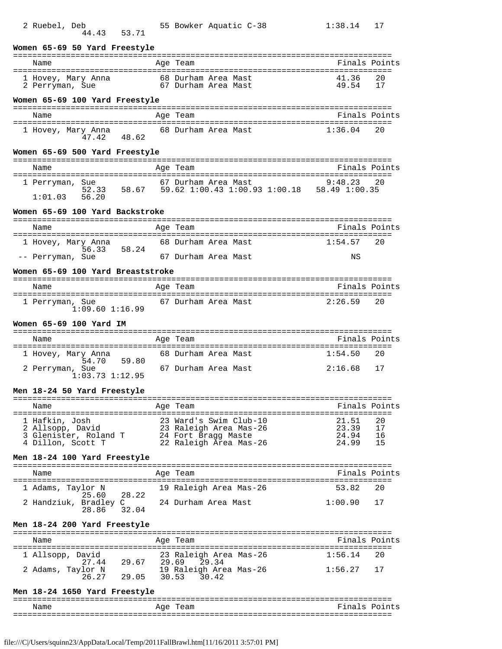| 2 Ruebel, Deb                                                                                                                 | 55 Bowker Aquatic C-38                                                   | 1:38.14        | 17            |
|-------------------------------------------------------------------------------------------------------------------------------|--------------------------------------------------------------------------|----------------|---------------|
| 44.43<br>53.71                                                                                                                |                                                                          |                |               |
| Women 65-69 50 Yard Freestyle                                                                                                 |                                                                          |                |               |
| Name                                                                                                                          | Age Team                                                                 |                | Finals Points |
| 1 Hovey, Mary Anna              68 Durham Area Mast<br>2 Perryman, Sue                 67 Durham Area Mast<br>2 Perryman, Sue |                                                                          | 41.36<br>49.54 | 20<br>17      |
| Women 65-69 100 Yard Freestyle                                                                                                |                                                                          |                |               |
| Name                                                                                                                          | Age Team                                                                 | Finals Points  |               |
| 1 Hovey, Mary Anna 68 Durham Area Mast<br>$47.42$ $48.62$                                                                     |                                                                          | 1:36.04        | 20            |
| Women 65-69 500 Yard Freestyle                                                                                                |                                                                          |                |               |
| Name                                                                                                                          | Age Team                                                                 |                | Finals Points |
| 1 Perryman, Sue<br>52.33<br>1:01.03<br>56.20                                                                                  | 67 Durham Area Mast<br>58.67 59.62 1:00.43 1:00.93 1:00.18 58.49 1:00.35 | 9:48.23        | 20            |
| Women 65-69 100 Yard Backstroke                                                                                               |                                                                          |                |               |
| Name                                                                                                                          | Age Team                                                                 |                | Finals Points |
| 1 Hovey, Mary Anna                                                                                                            | 68 Durham Area Mast                                                      | 1:54.57        | 20            |
| 56.33<br>58.24<br>-- Perryman, Sue                                                                                            | 67 Durham Area Mast                                                      | ΝS             |               |
| Women 65-69 100 Yard Breaststroke                                                                                             |                                                                          |                |               |
|                                                                                                                               |                                                                          |                | Finals Points |
| Name                                                                                                                          | Age Team                                                                 |                |               |
| 1 Perryman, Sue<br>$1:09.60$ $1:16.99$                                                                                        | 67 Durham Area Mast                                                      | 2:26.59        | 20            |
|                                                                                                                               |                                                                          |                |               |
| Women 65-69 100 Yard IM                                                                                                       |                                                                          |                |               |
|                                                                                                                               |                                                                          |                |               |
| Name                                                                                                                          | Age Team                                                                 | Finals Points  |               |
| 1 Hovey, Mary Anna<br>59.80<br>54.70                                                                                          | 68 Durham Area Mast                                                      | 1:54.50        | 20            |
| 2 Perryman, Sue<br>$1:03.73$ $1:12.95$                                                                                        | 67 Durham Area Mast                                                      | 2:16.68        | 17            |
| Men 18-24 50 Yard Freestyle                                                                                                   |                                                                          |                |               |
| Name                                                                                                                          | Age Team                                                                 |                | Finals Points |
|                                                                                                                               |                                                                          |                |               |
| 1 Hafkin, Josh<br>2 Allsopp, David                                                                                            |                                                                          | 21.51<br>23.39 | 20<br>17      |
| 3 Glenister, Roland T                                                                                                         | 23 Ward's Swim Club-10<br>23 Raleigh Area Mas-26<br>24 Fort Bragg Maste  | 24.94          | 16            |
| 4 Dillon, Scott T                                                                                                             | 22 Raleigh Area Mas-26                                                   | 24.99          | 15            |
| Men 18-24 100 Yard Freestyle                                                                                                  |                                                                          |                |               |
| Name                                                                                                                          | Age Team                                                                 | Finals Points  |               |
| 1 Adams, Taylor N                                                                                                             | 19 Raleigh Area Mas-26                                                   | 53.82          | 20            |
| 28.22<br>25.60<br>2 Handziuk, Bradley C<br>32.04<br>28.86                                                                     | 24 Durham Area Mast                                                      | 1:00.90        | 17            |
| Men 18-24 200 Yard Freestyle                                                                                                  |                                                                          |                |               |
| Name                                                                                                                          | Age Team                                                                 | Finals Points  |               |
| l Allsopp, David                                                                                                              | 23 Raleigh Area Mas-26                                                   | 1:56.14        | 20            |
| avid<br>27.44 29.67<br>2 Adams, Taylor N                                                                                      | 29.69<br>29.34<br>19 Raleigh Area Mas-26                                 | 1:56.27        | 17            |
| 26.27<br>29.05                                                                                                                | 30.53<br>30.42                                                           |                |               |
| Men 18-24 1650 Yard Freestyle                                                                                                 |                                                                          |                |               |
| Name                                                                                                                          | Age Team                                                                 |                | Finals Points |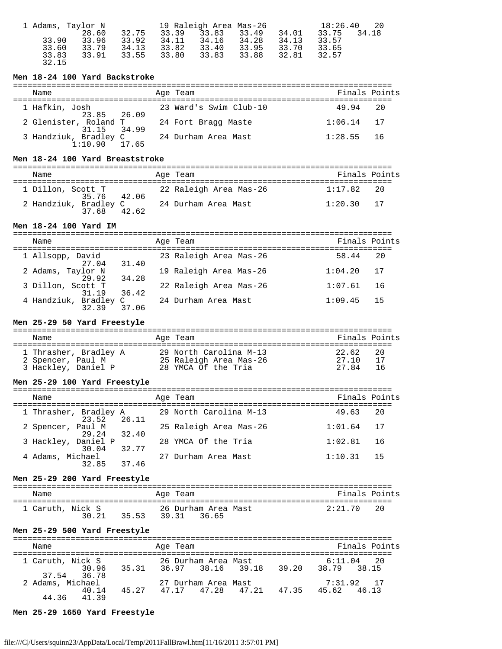| 1 Adams, Taylor N |       | 19 Raleigh Area Mas-26 |       |       |       | 18:26.40<br>- 20 |       |       |
|-------------------|-------|------------------------|-------|-------|-------|------------------|-------|-------|
|                   | 28.60 | 32.75                  | 33.39 | 33.83 | 33.49 | 34.01            | 33.75 | 34.18 |
| 33.90             | 33.96 | 33.92                  | 34.11 | 34.16 | 34.28 | 34.13            | 33.57 |       |
| 33.60             | 33.79 | 34.13                  | 33.82 | 33.40 | 33.95 | 33.70            | 33.65 |       |
| 33.83             | 33.91 | 33.55                  | 33.80 | 33.83 | 33.88 | 32.81            | 32.57 |       |
| 32.15             |       |                        |       |       |       |                  |       |       |

# **Men 18-24 100 Yard Backstroke**

| Name                                   | Age Team               | Finals Points |  |
|----------------------------------------|------------------------|---------------|--|
| 1 Hafkin, Josh<br>23.85 26.09          | 23 Ward's Swim Club-10 | 49.94 20      |  |
| 2 Glenister, Roland T<br>31.15 34.99   | 24 Fort Bragg Maste    | $1:06.14$ 17  |  |
| 3 Handziuk, Bradley C<br>1:10 90 17 65 | 24 Durham Area Mast    | $1:28.55$ 16  |  |

## **Men 18-24 100 Yard Breaststroke**

| Name                                 | Age Team               | Finals Points |
|--------------------------------------|------------------------|---------------|
| 1 Dillon, Scott T<br>35.76 42.06     | 22 Raleigh Area Mas-26 | 1:17.82<br>20 |
| 2 Handziuk, Bradley C<br>37.68 42.62 | 24 Durham Area Mast    | $1:20.30$ 17  |

# **Men 18-24 100 Yard IM**

| Name                          |       | Age Team               | Finals Points |     |
|-------------------------------|-------|------------------------|---------------|-----|
| 1 Allsopp, David<br>27.04     | 31.40 | 23 Raleigh Area Mas-26 | 58.44         | 20  |
| 2 Adams, Taylor N<br>29 92    | 34.28 | 19 Raleigh Area Mas-26 | 1:04.20       | 17  |
| 3 Dillon, Scott T<br>31 19    | 36.42 | 22 Raleigh Area Mas-26 | 1:07.61       | -16 |
| 4 Handziuk, Bradley C<br>3239 | 37 06 | 24 Durham Area Mast    | 1:09.45       | 15  |

## **Men 25-29 50 Yard Freestyle**

| Name                                                              | Age Team                                                                | Finals Points                               |
|-------------------------------------------------------------------|-------------------------------------------------------------------------|---------------------------------------------|
| 1 Thrasher, Bradley A<br>2 Spencer, Paul M<br>3 Hackley, Daniel P | 29 North Carolina M-13<br>25 Raleigh Area Mas-26<br>28 YMCA Of the Tria | 22.62<br>20<br>27.10<br>- 17<br>2784<br>-16 |

# **Men 25-29 100 Yard Freestyle**

| Name                                  | Age Team               | Finals Points   |
|---------------------------------------|------------------------|-----------------|
| 1 Thrasher, Bradley A<br>23.52 26.11  | 29 North Carolina M-13 | 49.63<br>-20    |
| 2 Spencer, Paul M<br>32.40<br>29.24   | 25 Raleigh Area Mas-26 | 1:01.64<br>- 17 |
| 3 Hackley, Daniel P<br>32.77<br>30.04 | 28 YMCA Of the Tria    | 1:02.81<br>-16  |
| 4 Adams, Michael<br>37.46<br>32.85    | 27 Durham Area Mast    | 15<br>1:10.31   |

# **Men 25-29 200 Yard Freestyle**

| Name             |       | Age Team                                 | Finals Points |  |
|------------------|-------|------------------------------------------|---------------|--|
| 1 Caruth, Nick S | 30.21 | 26 Durham Area Mast<br>35.53 39.31 36.65 | 2:21.70 20    |  |

# **Men 25-29 500 Yard Freestyle**

| Name             | Age Team            | Finals Points |
|------------------|---------------------|---------------|
| 1 Caruth, Nick S | 26 Durham Area Mast | $6:11.04$ 20  |
| 30.96            | 36.97 38.16 39.18   | 38.79 38.15   |
| 37.54 36.78      | 35.31               | 39.20         |
| 2 Adams, Michael | 27 Durham Area Mast | 7:31.92. 17   |
| 40.14            | 47.17 47.28 47.21   | 47.35         |
| 44 36 41 39      | 45.27               | 45.62 46.13   |

# **Men 25-29 1650 Yard Freestyle**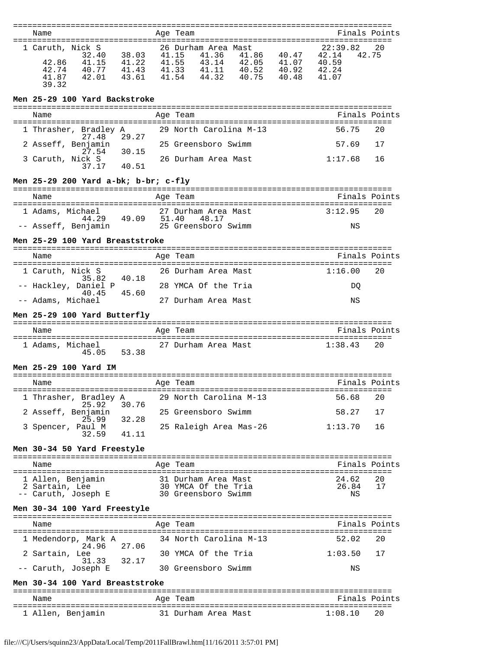| Name                                                                                                                   |                                     |       | Age Team                                                                                                                                                      | Finals Points                                         |    |
|------------------------------------------------------------------------------------------------------------------------|-------------------------------------|-------|---------------------------------------------------------------------------------------------------------------------------------------------------------------|-------------------------------------------------------|----|
|                                                                                                                        |                                     |       |                                                                                                                                                               |                                                       |    |
| 1 Caruth, Nick S<br>32.40<br>$41.15$ $41.22$<br>42.86<br>42.74<br>40.77<br>42.01<br>41.87<br>39.32                     | 38.03 41.15<br>41.43 41.33<br>43.61 | 41.54 | 26 Durham Area Mast<br>41.15 41.36 41.86 40.47<br>41.55 43.14 42.05 41.07<br>$\begin{array}{cccc} 41.11 & 40.52 & 40.92 \\ 44.32 & 40.75 & 40.48 \end{array}$ | 22:39.82<br>42.14<br>42.75<br>40.59<br>42.24<br>41.07 | 20 |
| Men 25-29 100 Yard Backstroke                                                                                          |                                     |       |                                                                                                                                                               |                                                       |    |
| Name                                                                                                                   |                                     |       | Age Team                                                                                                                                                      | Finals Points                                         |    |
| 1 Thrasher, Bradley A                                                                                                  |                                     |       | 29 North Carolina M-13                                                                                                                                        | 56.75                                                 | 20 |
| 27.48<br>2 Asseff, Benjamin                                                                                            | 29.27                               |       | 25 Greensboro Swimm                                                                                                                                           | 57.69                                                 | 17 |
| 27.54<br>3 Caruth, Nick S<br>37.17                                                                                     | 30.15<br>40.51                      |       | 26 Durham Area Mast                                                                                                                                           | 1:17.68                                               | 16 |
| Men 25-29 200 Yard a-bk; b-br; c-fly                                                                                   |                                     |       |                                                                                                                                                               |                                                       |    |
|                                                                                                                        |                                     |       |                                                                                                                                                               |                                                       |    |
| Name                                                                                                                   |                                     |       | Age Team                                                                                                                                                      | Finals Points                                         |    |
| 1 Adams, Michael<br>$44.29$ $49.09$ $51.40$<br>$25.025$                                                                |                                     |       | 27 Durham Area Mast<br>48.17                                                                                                                                  | 3:12.95                                               | 20 |
| -- Asseff, Benjamin                                                                                                    |                                     |       | 25 Greensboro Swimm                                                                                                                                           | ΝS                                                    |    |
| Men 25-29 100 Yard Breaststroke                                                                                        |                                     |       |                                                                                                                                                               |                                                       |    |
| Name                                                                                                                   |                                     |       | Age Team                                                                                                                                                      | Finals Points                                         |    |
| 1 Caruth, Nick S<br>35.82                                                                                              | 40.18                               |       | 26 Durham Area Mast                                                                                                                                           | 1:16.00                                               | 20 |
| -- Hackley, Daniel P<br>40.45                                                                                          | 45.60                               |       | 28 YMCA Of the Tria                                                                                                                                           | DO.                                                   |    |
| -- Adams, Michael                                                                                                      |                                     |       | 27 Durham Area Mast                                                                                                                                           | ΝS                                                    |    |
|                                                                                                                        |                                     |       |                                                                                                                                                               |                                                       |    |
| Men 25-29 100 Yard Butterfly                                                                                           |                                     |       |                                                                                                                                                               |                                                       |    |
| Name                                                                                                                   |                                     |       | Age Team                                                                                                                                                      | Finals Points                                         |    |
| $45.05$ 53.38                                                                                                          |                                     |       |                                                                                                                                                               | 1:38.43                                               | 20 |
| Men 25-29 100 Yard IM                                                                                                  |                                     |       |                                                                                                                                                               |                                                       |    |
| Name                                                                                                                   |                                     |       |                                                                                                                                                               | Finals Points                                         |    |
|                                                                                                                        |                                     |       | Age Team                                                                                                                                                      | 56.68                                                 | 20 |
| 25.92                                                                                                                  | 30.76                               |       | 1 Thrasher, Bradley A 29 North Carolina M-13<br>25 Greensboro Swimm                                                                                           | 58.27                                                 | 17 |
| 2 Asseff, Benjamin<br>25.99 32.28<br>3 Spencer, Paul M                                                                 |                                     |       | 25 Raleigh Area Mas-26                                                                                                                                        | 1:13.70                                               | 16 |
| 32.59                                                                                                                  | 41.11                               |       |                                                                                                                                                               |                                                       |    |
| Men 30-34 50 Yard Freestyle                                                                                            |                                     |       |                                                                                                                                                               |                                                       |    |
| Name                                                                                                                   |                                     |       | Age Team                                                                                                                                                      | Finals Points                                         |    |
|                                                                                                                        |                                     |       |                                                                                                                                                               | 24.62                                                 | 20 |
| 1 Allen, Benjamin 31 Durham Area Mast<br>2 Sartain, Lee 30 YMCA Of the Tria<br>-- Caruth, Joseph E 30 Greensboro Swimm |                                     |       |                                                                                                                                                               | 26.84<br>ΝS                                           | 17 |
| Men 30-34 100 Yard Freestyle                                                                                           |                                     |       |                                                                                                                                                               |                                                       |    |
| Name                                                                                                                   |                                     |       | Age Team                                                                                                                                                      | Finals Points                                         |    |
| 1 Medendorp, Mark A                                                                                                    |                                     |       | 34 North Carolina M-13                                                                                                                                        | 52.02                                                 | 20 |
| 24.96 27.06<br>2 Sartain, Lee                                                                                          |                                     |       | 30 YMCA Of the Tria                                                                                                                                           | 1:03.50                                               | 17 |
| 31.33 32.17<br>-- Caruth, Joseph E                                                                                     |                                     |       | 30 Greensboro Swimm                                                                                                                                           | ΝS                                                    |    |

=============================================================================== Name Age Team Finals Points =============================================================================== 1 Allen, Benjamin 31 Durham Area Mast 1:08.10 20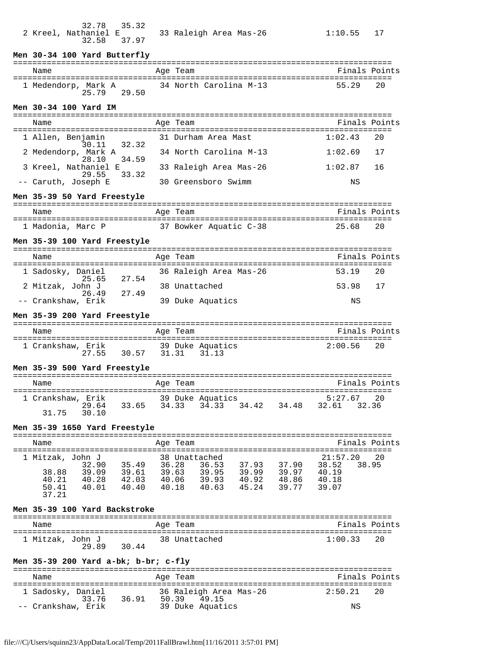| 32.78<br>35.32<br>2 Kreel, Nathaniel E<br>37.97<br>32.58      |                | 33 Raleigh Area Mas-26                                               | 1:10.55<br>17           |
|---------------------------------------------------------------|----------------|----------------------------------------------------------------------|-------------------------|
| Men 30-34 100 Yard Butterfly                                  |                |                                                                      |                         |
| Name                                                          |                | Age Team                                                             | Finals Points           |
| 1 Medendorp, Mark A<br>25.79 29.50                            |                | 34 North Carolina M-13                                               | 55.29<br>20             |
| Men 30-34 100 Yard IM                                         |                |                                                                      |                         |
| Name                                                          |                | Age Team                                                             | Finals Points           |
| 1 Allen, Benjamin                                             |                | 31 Durham Area Mast                                                  | 1:02.43<br>20           |
| 30.11<br>32.32<br>2 Medendorp, Mark A                         |                | 34 North Carolina M-13                                               | 1:02.69<br>17           |
| 28.10<br>34.59<br>3 Kreel, Nathaniel E                        |                | 33 Raleigh Area Mas-26                                               | 1:02.87<br>16           |
| 33.32<br>29.55<br>-- Caruth, Joseph E                         |                | 30 Greensboro Swimm                                                  | ΝS                      |
| Men 35-39 50 Yard Freestyle                                   |                |                                                                      |                         |
| Name                                                          |                | Age Team                                                             | Finals Points           |
| 1 Madonia, Marc P                                             |                | 37 Bowker Aquatic C-38                                               | 25.68<br>20             |
| Men 35-39 100 Yard Freestyle                                  |                |                                                                      |                         |
| Name                                                          |                |                                                                      | Finals Points           |
|                                                               |                | Age Team                                                             | 20                      |
| 1 Sadosky, Daniel<br>25.65<br>27.54                           |                | 36 Raleigh Area Mas-26                                               | 53.19                   |
| 2 Mitzak, John J<br>26.49<br>27.49                            |                | 38 Unattached                                                        | 53.98<br>17             |
| -- Crankshaw, Erik                                            |                | 39 Duke Aquatics                                                     | ΝS                      |
| Men 35-39 200 Yard Freestyle                                  |                |                                                                      |                         |
| Name                                                          |                | Age Team                                                             | Finals Points           |
| 1 Crankshaw, Erik 39 Duke Aquatics<br>27.55 30.57 31.31 31.13 |                |                                                                      | 2:00.56<br>20           |
| Men 35-39 500 Yard Freestyle                                  |                |                                                                      |                         |
| Name                                                          |                | Aqe Team                                                             | Finals Points           |
| 1 Crankshaw, Erik<br>29.64                                    |                | 39 Duke Aquatics                                                     | 5:27.67<br>20           |
| 30.10<br>31.75                                                |                | $33.65$ $34.33$ $34.33$ $34.42$                                      | 34.48 32.61<br>32.36    |
| Men 35-39 1650 Yard Freestyle                                 |                |                                                                      |                         |
| Name                                                          |                | Age Team                                                             | Finals Points           |
| 1 Mitzak, John J                                              |                | 38 Unattached                                                        | 21:57.20<br>20          |
| 35.49 36.28<br>32.90<br>39.09 39.61<br>40.28 42.03<br>38.88   | 39.63<br>40.06 | 36.53<br>37.93<br>37.90<br>39.95<br>39.99<br>40.92<br>39.99<br>39.97 | 38.52<br>38.95<br>40.19 |
| 40.28<br>40.21<br>50.41<br>40.01<br>40.40                     | 40.18          | 39.93<br>48.86<br>40.63<br>45.24<br>39.77                            | 40.18<br>39.07          |
| 37.21                                                         |                |                                                                      |                         |
| Men 35-39 100 Yard Backstroke                                 |                |                                                                      |                         |
| Name                                                          |                | Age Team                                                             | Finals Points           |
| 1 Mitzak, John J<br>30.44<br>29.89                            |                | 38 Unattached                                                        | 1:00.33<br>20           |
| Men 35-39 200 Yard a-bk; b-br; c-fly                          |                |                                                                      |                         |
| Name                                                          |                | Age Team                                                             | Finals Points           |

| Name                      | Age Team                                         | Finals Points |
|---------------------------|--------------------------------------------------|---------------|
| 1 Sadosky, Daniel<br>3376 | 36 Raleigh Area Mas-26<br>36.91<br>49.15<br>5039 | 2:50.21<br>20 |
| -- Crankshaw, Erik        | 39 Duke Aquatics                                 | ΝS            |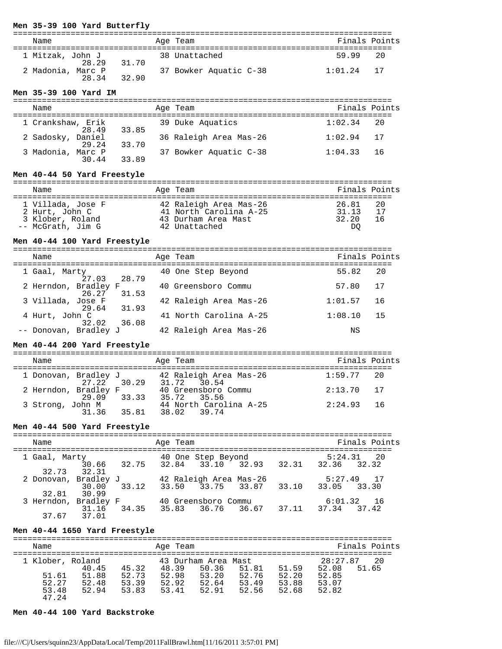#### **Men 35-39 100 Yard Butterfly**

| Name                       |       | Age Team               | Finals Points     |
|----------------------------|-------|------------------------|-------------------|
| 1 Mitzak, John J<br>28.29  | 31.70 | 38 Unattached          | 59 99<br>20       |
| 2 Madonia, Marc P<br>28.34 | 32.90 | 37 Bowker Aquatic C-38 | $1:01$ . 24<br>17 |

#### **Men 35-39 100 Yard IM**

| Name                       |       | Age Team               | Finals Points |      |
|----------------------------|-------|------------------------|---------------|------|
| 1 Crankshaw, Erik<br>28.49 | 33.85 | 39 Duke Aquatics       | 1:02.34       | - 20 |
| 2 Sadosky, Daniel<br>29.24 | 33.70 | 36 Raleigh Area Mas-26 | 1:02.94       | 17   |
| 3 Madonia, Marc P<br>30.44 | 33.89 | 37 Bowker Aquatic C-38 | 1:04.33       | 16   |

#### **Men 40-44 50 Yard Freestyle**

| Name                                                                         | Age Team                                                                                 | Finals Points                                      |
|------------------------------------------------------------------------------|------------------------------------------------------------------------------------------|----------------------------------------------------|
| 1 Villada, Jose F<br>2 Hurt, John C<br>3 Klober, Roland<br>-- McGrath, Jim G | 42 Raleigh Area Mas-26<br>41 North Carolina A-25<br>43 Durham Area Mast<br>42 Unattached | 26.81<br>20<br>31.13<br>17<br>32.20<br>ີ 1 6<br>DO |

#### **Men 40-44 100 Yard Freestyle**

| Name                                   | Age Team               | Finals Points  |
|----------------------------------------|------------------------|----------------|
| 1 Gaal, Marty<br>27.03 28.79           | 40 One Step Beyond     | 55.82<br>20    |
| 2 Herndon, Bradley F<br>26.27<br>31.53 | 40 Greensboro Commu    | -17<br>57.80   |
| 3 Villada, Jose F<br>29.64 31.93       | 42 Raleigh Area Mas-26 | 1:01.57<br>16  |
| 4 Hurt, John C<br>36.08<br>32.02       | 41 North Carolina A-25 | 1:08.10<br>-15 |
| -- Donovan, Bradley J                  | 42 Raleigh Area Mas-26 | ΝS             |

#### **Men 40-44 200 Yard Freestyle**

=============================================================================== Name Age Team Finals Points =============================================================================== 1 Donovan, Bradley J 42 Raleigh Area Mas-26 1:59.77 20  $27.22$   $30.29$   $31.72$   $30.54$ 2 Herndon, Bradley F<sub>10</sub> 62 40 Greensboro Commu 2:13.70 17 29.09 33.33 35.72 35.56  $3$  Strong, John M  $\qquad \qquad 44$  North Carolina A-25  $\qquad \qquad 2:24.93$  16 31.36 35.81 38.02 39.74

## **Men 40-44 500 Yard Freestyle**

=============================================================================== Age Team =============================================================================== 1 Gaal, Marty  $\frac{40}{20}$  One Step Beyond  $\frac{5:24.31}{20}$   $\frac{20}{20}$  30.66 32.75 32.84 33.10 32.93 32.31 32.36 32.32 2 Donovan, Bradley J 2 Donovan, Bradley J<sub>1</sub>, 2 Raleigh Area Mas-26 5:27.49 17  $\frac{30.00}{9}$  30.00 33.12 33.50 33.75 33.87 33.10 33.05 33.30 32.81 30.99<br>3 Herndon, Bradley F 3 Herndon, Bradley F<sub>21</sub>, 20 Greensboro Commu <sub>1</sub>, 20 J<sub>0</sub> 6:01.32 16  $\frac{31.16}{9}$  31.16 34.35 35.83 36.76 36.67 37.11 37.34 37.42 37.67 37.01

## **Men 40-44 1650 Yard Freestyle**

| Name             |       |       | Age Team |                     |       |       | Finals Points  |
|------------------|-------|-------|----------|---------------------|-------|-------|----------------|
| 1 Klober, Roland |       |       |          | 43 Durham Area Mast |       |       | 28:27.87<br>20 |
|                  | 40.45 | 45.32 | 48.39    | 50.36               | 51.81 | 51.59 | 52.08<br>51.65 |
| 51.61            | 51.88 | 52.73 | 52.98    | 53.20               | 52.76 | 52.20 | 52.85          |
| 52.27            | 52.48 | 53.39 | 52.92    | 52.64               | 53.49 | 53.88 | 53.07          |
| 53.48            | 52.94 | 53.83 | 53.41    | 52.91               | 52.56 | 52.68 | 52.82          |
| 47.24            |       |       |          |                     |       |       |                |

#### **Men 40-44 100 Yard Backstroke**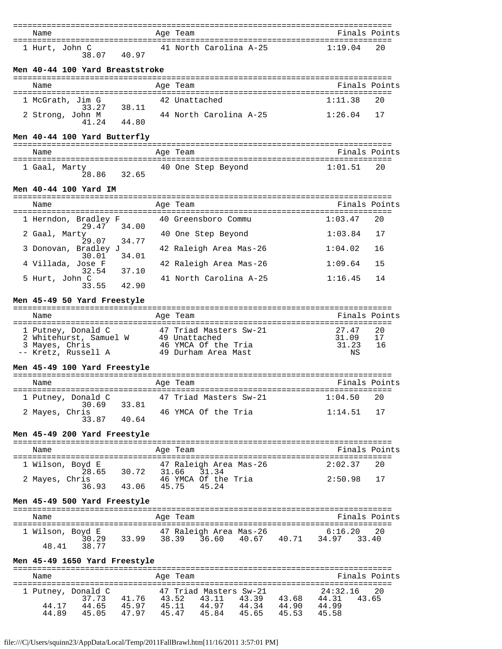| Name                                                                                                                                                                                                             |       | Age Team                                                                       | Finals Points              |
|------------------------------------------------------------------------------------------------------------------------------------------------------------------------------------------------------------------|-------|--------------------------------------------------------------------------------|----------------------------|
|                                                                                                                                                                                                                  |       |                                                                                |                            |
| 1 Hurt, John C<br>38.07<br>40.97                                                                                                                                                                                 |       | 41 North Carolina A-25                                                         | 1:19.04<br>20              |
| Men 40-44 100 Yard Breaststroke                                                                                                                                                                                  |       |                                                                                |                            |
| Name                                                                                                                                                                                                             |       | Age Team                                                                       | Finals Points              |
| 1 McGrath, Jim G                                                                                                                                                                                                 |       | 42 Unattached                                                                  | 1:11.38<br>20              |
| 33.27<br>38.11                                                                                                                                                                                                   |       |                                                                                |                            |
| 2 Strong, John M<br>44.80<br>41.24                                                                                                                                                                               |       | 44 North Carolina A-25                                                         | 1:26.04<br>17              |
| Men 40-44 100 Yard Butterfly                                                                                                                                                                                     |       |                                                                                |                            |
| Name                                                                                                                                                                                                             |       | Age Team                                                                       | Finals Points              |
|                                                                                                                                                                                                                  |       | 40 One Step Beyond                                                             | 1:01.51<br>20              |
| 1 Gaal, Marty<br>$28.86$ 32.65                                                                                                                                                                                   |       |                                                                                |                            |
| Men 40-44 100 Yard IM                                                                                                                                                                                            |       |                                                                                |                            |
| Name                                                                                                                                                                                                             |       | Age Team                                                                       | Finals Points              |
| 1 Herndon, Bradley F<br>34.00                                                                                                                                                                                    |       | 40 Greensboro Commu                                                            | 1:03.47<br>20              |
| 29.47<br>2 Gaal, Marty<br>34.77<br>29.07                                                                                                                                                                         |       | 40 One Step Beyond                                                             | 1:03.84<br>17              |
| 3 Donovan, Bradley J<br>30.01<br>34.01                                                                                                                                                                           |       | 42 Raleigh Area Mas-26                                                         | 1:04.02<br>16              |
| 4 Villada, Jose F<br>37.10<br>32.54                                                                                                                                                                              |       | 42 Raleigh Area Mas-26                                                         | 1:09.64<br>15              |
| 5 Hurt, John C<br>42.90<br>33.55                                                                                                                                                                                 |       | 41 North Carolina A-25                                                         | 1:16.45<br>14              |
| Men 45-49 50 Yard Freestyle                                                                                                                                                                                      |       |                                                                                |                            |
| Name                                                                                                                                                                                                             |       | Age Team                                                                       | Finals Points              |
|                                                                                                                                                                                                                  |       |                                                                                |                            |
| 1 Putney, Donald C $47$ Triad Masters Sw-21<br>2 Whitehurst, Samuel W $49$ Unattached<br>3 Mayes, Chris                          46 YMCA Of the Tria<br>-- Kretz, Russell A                  49 Durham Area Mast |       |                                                                                | 27.47<br>20<br>31.09<br>17 |
|                                                                                                                                                                                                                  |       |                                                                                | 31.23<br>16                |
| Men 45-49 100 Yard Freestyle                                                                                                                                                                                     |       |                                                                                | ΝS                         |
|                                                                                                                                                                                                                  |       |                                                                                |                            |
| Name                                                                                                                                                                                                             |       | Age Team                                                                       | Finals Points              |
| 1 Putney, Donald C                                                                                                                                                                                               |       | 47 Triad Masters Sw-21                                                         | 1:04.50<br>20              |
| 30.69<br>33.81<br>2 Mayes, Chris<br>33.87<br>40.64                                                                                                                                                               |       | 46 YMCA Of the Tria                                                            | 1:14.51<br>17              |
| Men 45-49 200 Yard Freestyle                                                                                                                                                                                     |       |                                                                                |                            |
| Name                                                                                                                                                                                                             |       | Age Team                                                                       | Finals Points              |
|                                                                                                                                                                                                                  |       |                                                                                |                            |
| 1 Wilson, Boyd E<br>28.65 30.72                                                                                                                                                                                  | 31.66 | 47 Raleigh Area Mas-26<br>31.34                                                | 2:02.37<br>20              |
| 2 Mayes, Chris<br>36.93<br>43.06                                                                                                                                                                                 | 45.75 | 46 YMCA Of the Tria<br>45.24                                                   | 2:50.98<br>17              |
| Men 45-49 500 Yard Freestyle                                                                                                                                                                                     |       |                                                                                |                            |
| Name                                                                                                                                                                                                             |       | Age Team                                                                       | Finals Points              |
|                                                                                                                                                                                                                  |       |                                                                                |                            |
| 1 Wilson, Boyd E<br>30.29<br>38.77<br>48.41                                                                                                                                                                      |       | 47 Raleigh Area Mas-26 6:16.20 20<br>33.99 38.39 36.60 40.67 40.71 34.97 33.40 | 20                         |
| Men 45-49 1650 Yard Freestyle                                                                                                                                                                                    |       |                                                                                |                            |
| Name                                                                                                                                                                                                             |       | Age Team                                                                       | Finals Points              |
|                                                                                                                                                                                                                  |       |                                                                                |                            |
| 1 Putney, Donald C<br>37.73<br>41.76 43.52                                                                                                                                                                       |       | 47 Triad Masters Sw-21<br>43.11 43.39 43.68 44.31                              | 24:32.16<br>20<br>43.65    |
| 45.97 45.11<br>44.65<br>44.17<br>47.97<br>44.89<br>45.05                                                                                                                                                         |       | 44.97 44.34 44.90<br>45.47 45.84<br>45.65                                      | 44.99<br>45.58             |
|                                                                                                                                                                                                                  |       | 45.53                                                                          |                            |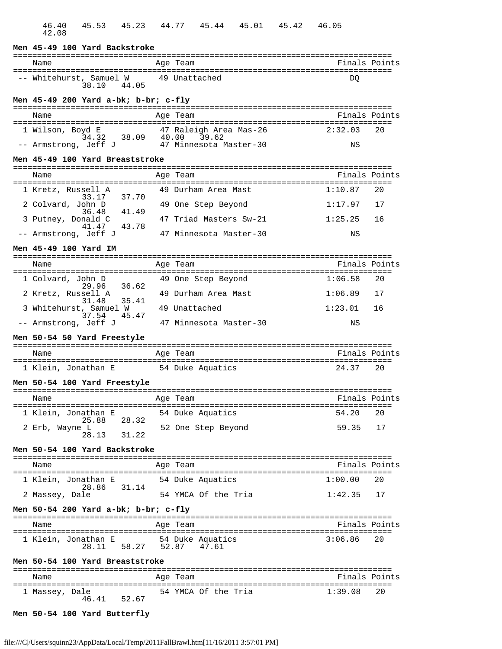| Men 45-49 100 Yard Backstroke                                                              |                        |               |
|--------------------------------------------------------------------------------------------|------------------------|---------------|
| Name                                                                                       | Age Team               | Finals Points |
| -- Whitehurst, Samuel W 49 Unattached<br>44.05<br>38.10                                    |                        | DO            |
| Men 45-49 200 Yard a-bk; b-br; c-fly                                                       |                        |               |
| Name                                                                                       | Age Team               | Finals Points |
|                                                                                            |                        | 2:32.03<br>20 |
| 1 Wilson, Boyd E 47 Raleigh Area Mas-26<br>34.32 38.09 40.00 39.62<br>-- Armstrong, Jeff J | 47 Minnesota Master-30 | ΝS            |
| Men 45-49 100 Yard Breaststroke                                                            |                        |               |
|                                                                                            |                        |               |
| Name                                                                                       | Age Team               | Finals Points |
| 1 Kretz, Russell A<br>33.17 37.70                                                          | 49 Durham Area Mast    | 1:10.87<br>20 |
| 2 Colvard, John D                                                                          | 49 One Step Beyond     | 1:17.97<br>17 |
| 41.49<br>36.48<br>3 Putney, Donald C                                                       | 47 Triad Masters Sw-21 | 1:25.25<br>16 |
| 41.47<br>43.78<br>-- Armstrong, Jeff J                                                     | 47 Minnesota Master-30 | ΝS            |
| Men 45-49 100 Yard IM                                                                      |                        |               |
| Name                                                                                       | Age Team               | Finals Points |
|                                                                                            |                        |               |
| 1 Colvard, John D<br>36.62<br>29.96                                                        | 49 One Step Beyond     | 1:06.58<br>20 |
| 2 Kretz, Russell A<br>35.41<br>31.48                                                       | 49 Durham Area Mast    | 1:06.89<br>17 |
| 3 Whitehurst, Samuel W<br>45.47<br>37.54                                                   | 49 Unattached          | 1:23.01<br>16 |
| -- Armstrong, Jeff J                                                                       | 47 Minnesota Master-30 | ΝS            |
| Men 50-54 50 Yard Freestyle                                                                |                        |               |
| Name                                                                                       | Age Team               | Finals Points |
| 1 Klein, Jonathan E                                                                        | 54 Duke Aquatics       | 24.37<br>20   |
| Men 50-54 100 Yard Freestyle                                                               |                        |               |
|                                                                                            |                        |               |
| Name                                                                                       | Age Team               | Finals Points |
| 1 Klein, Jonathan E<br>28.32<br>25.88                                                      | 54 Duke Aquatics       | 54.20<br>20   |
| 2 Erb, Wayne L<br>28.13<br>31.22                                                           | 52 One Step Beyond     | 59.35<br>17   |
|                                                                                            |                        |               |
| Men 50-54 100 Yard Backstroke                                                              |                        |               |
| Name                                                                                       | Age Team               | Finals Points |
| 1 Klein, Jonathan E<br>28.86<br>31.14                                                      | 54 Duke Aquatics       | 1:00.00<br>20 |
| 2 Massey, Dale                                                                             | 54 YMCA Of the Tria    | 1:42.35<br>17 |
| Men 50-54 200 Yard a-bk; b-br; c-fly                                                       |                        |               |
| Name                                                                                       | Age Team               | Finals Points |
| 1 Klein, Jonathan E                                                                        | 54 Duke Aquatics       | 20<br>3:06.86 |
| 58.27 52.87<br>28.11                                                                       | 47.61                  |               |
| Men 50-54 100 Yard Breaststroke                                                            |                        |               |
| Name                                                                                       | Age Team               | Finals Points |
| l Massey, Dale<br>46.41<br>52.67                                                           | 54 YMCA Of the Tria    | 1:39.08<br>20 |
|                                                                                            |                        |               |
| Men 50-54 100 Yard Butterfly                                                               |                        |               |

46.40 45.53 45.23 44.77 45.44 45.01 45.42 46.05

42.08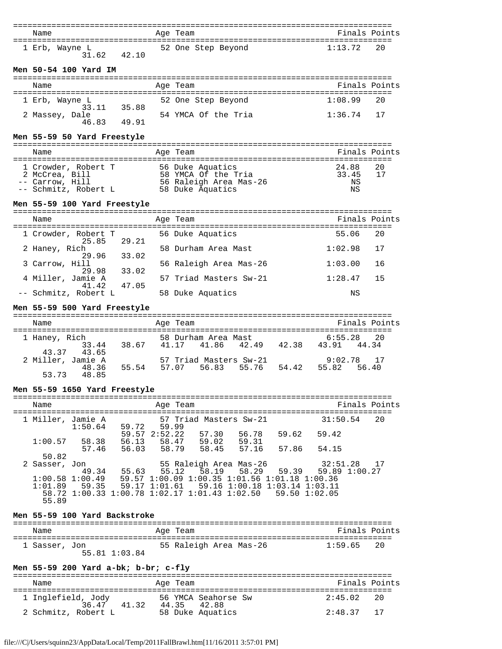| Name                                                                                                                                                                            | Age Team                                                                                                                     | Finals Points  |          |
|---------------------------------------------------------------------------------------------------------------------------------------------------------------------------------|------------------------------------------------------------------------------------------------------------------------------|----------------|----------|
|                                                                                                                                                                                 |                                                                                                                              |                |          |
| 1 Erb, Wayne L<br>31.62 42.10                                                                                                                                                   | 52 One Step Beyond                                                                                                           | 1:13.72        | 20       |
|                                                                                                                                                                                 |                                                                                                                              |                |          |
| Men 50-54 100 Yard IM                                                                                                                                                           |                                                                                                                              |                |          |
|                                                                                                                                                                                 |                                                                                                                              |                |          |
| Name                                                                                                                                                                            | Age Team                                                                                                                     | Finals Points  |          |
| 1 Erb, Wayne L                                                                                                                                                                  | 52 One Step Beyond                                                                                                           | 1:08.99        | 20       |
| 33.11<br>35.88                                                                                                                                                                  |                                                                                                                              |                |          |
| 2 Massey, Dale                                                                                                                                                                  | 54 YMCA Of the Tria                                                                                                          | 1:36.74        | 17       |
| 46.83<br>49.91                                                                                                                                                                  |                                                                                                                              |                |          |
| Men 55-59 50 Yard Freestyle                                                                                                                                                     |                                                                                                                              |                |          |
|                                                                                                                                                                                 |                                                                                                                              |                |          |
| Name                                                                                                                                                                            | Age Team                                                                                                                     | Finals Points  |          |
|                                                                                                                                                                                 |                                                                                                                              |                |          |
| 1 Crowder, Robert T                56 Duke Aquatics<br>2 McCrea, Bill                       58 YMCA Of the Tria<br>-- Carrow, Hill                       56 Raleigh Area Mas-26 |                                                                                                                              | 24.88<br>33.45 | 20<br>17 |
| -- Carrow, Hill                                                                                                                                                                 |                                                                                                                              | ΝS             |          |
| -- Schmitz, Robert L 58 Duke Aquatics                                                                                                                                           |                                                                                                                              | ΝS             |          |
| Men 55-59 100 Yard Freestyle                                                                                                                                                    |                                                                                                                              |                |          |
|                                                                                                                                                                                 |                                                                                                                              |                |          |
| Name                                                                                                                                                                            | Age Team                                                                                                                     | Finals Points  |          |
|                                                                                                                                                                                 |                                                                                                                              |                |          |
| 1 Crowder, Robert T<br>29.21<br>25.85                                                                                                                                           | 56 Duke Aquatics                                                                                                             | 55.06          | 20       |
| 2 Haney, Rich                                                                                                                                                                   | 58 Durham Area Mast                                                                                                          | 1:02.98        | 17       |
| 29.96<br>33.02                                                                                                                                                                  |                                                                                                                              |                |          |
| 3 Carrow, Hill<br>29.98 33.02                                                                                                                                                   | 56 Raleigh Area Mas-26                                                                                                       | 1:03.00        | 16       |
| 4 Miller, Jamie A                                                                                                                                                               | 57 Triad Masters Sw-21                                                                                                       | 1:28.47        | 15       |
| 41.42<br>47.05                                                                                                                                                                  |                                                                                                                              |                |          |
| -- Schmitz, Robert L                                                                                                                                                            | 58 Duke Aquatics                                                                                                             | ΝS             |          |
| Men 55-59 500 Yard Freestyle                                                                                                                                                    |                                                                                                                              |                |          |
|                                                                                                                                                                                 |                                                                                                                              |                |          |
| Name                                                                                                                                                                            | Age Team                                                                                                                     | Finals Points  |          |
|                                                                                                                                                                                 |                                                                                                                              |                |          |
| 1 Haney, Rich<br>33.44                                                                                                                                                          | 58 Durham Area Mast 6:55.28 20<br>38.67 41.17 41.86 42.49 42.38 43.91 44.34                                                  |                | 20       |
| 43.37<br>43.65                                                                                                                                                                  |                                                                                                                              |                |          |
| 2 Miller, Jamie A                                                                                                                                                               | 57 Triad Masters Sw-21                                                                                                       | $9:02.78$ 17   |          |
| 55.54 57.07<br>48.36<br>48.85<br>53.73                                                                                                                                          | 56.83 55.76 54.42                                                                                                            | 55.82          | 56.40    |
|                                                                                                                                                                                 |                                                                                                                              |                |          |
| Men 55-59 1650 Yard Freestyle                                                                                                                                                   |                                                                                                                              |                |          |
|                                                                                                                                                                                 |                                                                                                                              |                |          |
| Name                                                                                                                                                                            | Age Team                                                                                                                     | Finals Points  |          |
| 1 Miller, Jamie A                                                                                                                                                               |                                                                                                                              | 31:50.54       | 20       |
|                                                                                                                                                                                 | Jamie A 57 Triad Masters Sw-21<br>1:50.64 59.72 59.99                                                                        |                |          |
|                                                                                                                                                                                 | $59.57$ $2:52.22$ $57.30$ $56.78$ $59.62$ $59.42$<br>1:00.57 $58.38$ $56.13$ $58.47$ $59.02$ $59.31$ $  -$                   |                |          |
|                                                                                                                                                                                 | 57.46 56.03 58.79 58.45 57.16 57.86 54.15                                                                                    |                |          |
| 50.82                                                                                                                                                                           |                                                                                                                              |                |          |
| 2 Sasser, Jon                                                                                                                                                                   | 55 Raleigh Area Mas-26                                                                                                       | 32:51.28 17    |          |
|                                                                                                                                                                                 | $1:00.58$ 1:00.49 59.57 1:00.09 1:00.35 1:01.56 1:01.18 1:00.36<br>1:01.89 59.35 59.17 1:01.61 59.16 1:01.16 1:01.18 1:00.36 |                |          |
|                                                                                                                                                                                 |                                                                                                                              |                |          |
|                                                                                                                                                                                 | 58.72 1:00.33 1:00.78 1:02.17 1:01.43 1:02.50 59.50 1:02.05                                                                  |                |          |
| 55.89                                                                                                                                                                           |                                                                                                                              |                |          |
| Men 55-59 100 Yard Backstroke                                                                                                                                                   |                                                                                                                              |                |          |
|                                                                                                                                                                                 |                                                                                                                              |                |          |
| Name                                                                                                                                                                            | Age Team                                                                                                                     | Finals Points  |          |
|                                                                                                                                                                                 | 55 Raleigh Area Mas-26                                                                                                       | 1:59.65        | 20       |
| 1 Sasser, Jon<br>55.81 1:03.84                                                                                                                                                  |                                                                                                                              |                |          |
|                                                                                                                                                                                 |                                                                                                                              |                |          |
| Men 55-59 200 Yard a-bk; b-br; c-fly                                                                                                                                            |                                                                                                                              |                |          |
| Name                                                                                                                                                                            |                                                                                                                              | Finals Points  |          |
|                                                                                                                                                                                 | Age Team                                                                                                                     |                |          |
| 1 Inglefield, Jody 56 YMCA Seahorse Sw 36.47 41.32 44.35 42.88                                                                                                                  |                                                                                                                              | 2:45.02        | 20       |
|                                                                                                                                                                                 |                                                                                                                              |                |          |
| 2 Schmitz, Robert L                                                                                                                                                             | 58 Duke Aquatics                                                                                                             | 2:48.37        | 17       |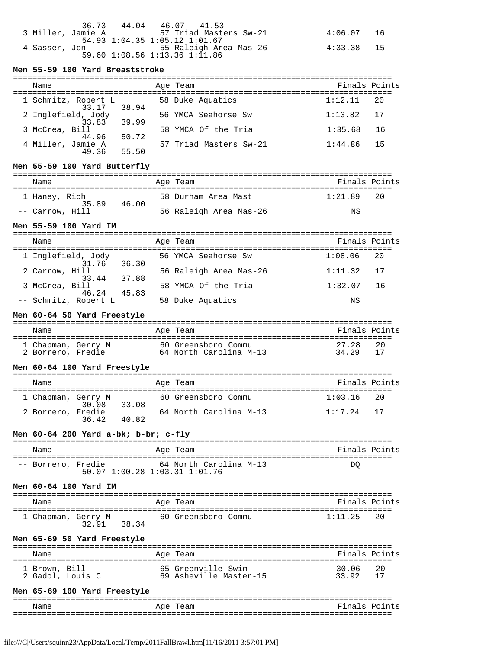|                   | 36.73 | 44.04 | 46.07 41.53                   |            |    |
|-------------------|-------|-------|-------------------------------|------------|----|
| 3 Miller, Jamie A |       |       | 57 Triad Masters Sw-21        | 4:06.07    | 16 |
|                   |       |       | 54.93 1:04.35 1:05.12 1:01.67 |            |    |
| 4 Sasser, Jon     |       |       | 55 Raleigh Area Mas-26        | 4:33.38 15 |    |
|                   |       |       | 59.60 1:08.56 1:13.36 1:11.86 |            |    |

## **Men 55-59 100 Yard Breaststroke**

| Name                         |       | Age Team               | Finals Points   |
|------------------------------|-------|------------------------|-----------------|
| 1 Schmitz, Robert L<br>33.17 | 38.94 | 58 Duke Aquatics       | 1:12.11<br>20   |
| 2 Inglefield, Jody<br>33.83  | 39.99 | 56 YMCA Seahorse Sw    | 1:13.82<br>17   |
| 3 McCrea, Bill<br>44.96      | 50.72 | 58 YMCA Of the Tria    | 1:35.68<br>- 16 |
| 4 Miller, Jamie A<br>49.36   | 55.50 | 57 Triad Masters Sw-21 | 1:44.86<br>15   |

# **Men 55-59 100 Yard Butterfly**

| Name                  |       | Age Team               | Finals Points   |
|-----------------------|-------|------------------------|-----------------|
| 1 Haney, Rich<br>3589 | 46.00 | 58 Durham Area Mast    | 1:21.89<br>- 20 |
| -- Carrow, Hill       |       | 56 Raleigh Area Mas-26 | ΝS              |

# **Men 55-59 100 Yard IM**

| Name                 | Age Team               | Finals Points |
|----------------------|------------------------|---------------|
| 1 Inglefield, Jody   | 56 YMCA Seahorse Sw    | 1:08.06       |
| 31.76                | 36.30                  | - 20          |
| 2 Carrow, Hill       | 56 Raleigh Area Mas-26 | 17            |
| 33.44                | 37.88                  | 1:11.32       |
| 3 McCrea, Bill       | 58 YMCA Of the Tria    | 1:32.07       |
| 46.24                | 45.83                  | - 16          |
| -- Schmitz, Robert L | 58 Duke Aquatics       | ΝS            |

# **Men 60-64 50 Yard Freestyle**

| Name                                    |  | Age Team                                      | Finals Points  |    |
|-----------------------------------------|--|-----------------------------------------------|----------------|----|
| 1 Chapman, Gerry M<br>2 Borrero, Fredie |  | 60 Greensboro Commu<br>64 North Carolina M-13 | 27.28<br>34 29 | 20 |

### **Men 60-64 100 Yard Freestyle**

| Name               |       |       |  | Age Team               | Finals Points |    |  |
|--------------------|-------|-------|--|------------------------|---------------|----|--|
| 1 Chapman, Gerry M | 30.08 | 33.08 |  | 60 Greensboro Commu    | 1:03.16       | 20 |  |
| 2 Borrero, Fredie  | 36.42 | 40.82 |  | 64 North Carolina M-13 | $1:17.24$ 17  |    |  |

## **Men 60-64 200 Yard a-bk; b-br; c-fly**

| Name               | Age Team                                                | Finals Points |
|--------------------|---------------------------------------------------------|---------------|
| -- Borrero, Fredie | 64 North Carolina M-13<br>50.07 1:00.28 1:03.31 1:01.76 | DΟ            |

## **Men 60-64 100 Yard IM**

| Name               |       |      | Age Team            | Finals Points |     |
|--------------------|-------|------|---------------------|---------------|-----|
| 1 Chapman, Gerry M | 32.91 | 3834 | 60 Greensboro Commu | 1:11.25       | 2.0 |

## **Men 65-69 50 Yard Freestyle**

| Name                              | Age Team                                     | Finals Points |      |
|-----------------------------------|----------------------------------------------|---------------|------|
| 1 Brown, Bill<br>2 Gadol, Louis C | 65 Greenville Swim<br>69 Asheville Master-15 | 30.06<br>3392 | - 20 |

# **Men 65-69 100 Yard Freestyle**

| --   | --------------------------------- | . <u>.</u><br>---             |
|------|-----------------------------------|-------------------------------|
| Name | ົຕ≏<br>A                          | –<br>$\sim$ $\sim$<br>~<br>ہں |
| $ -$ |                                   |                               |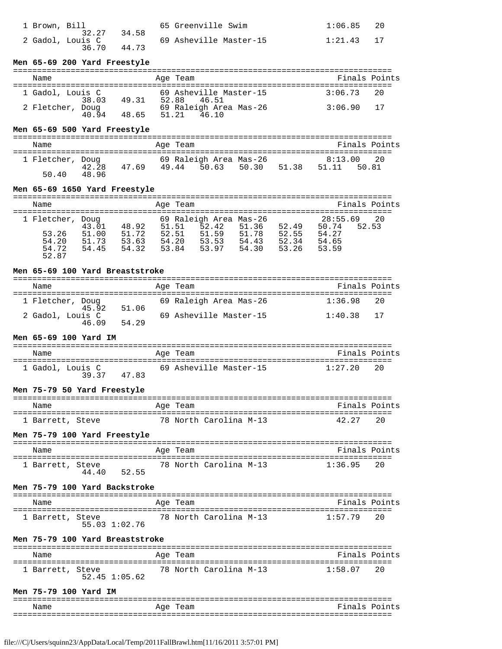| 1 Brown, Bill             |       | 65 Greenville Swim     | 1:06.85 | - 20 |
|---------------------------|-------|------------------------|---------|------|
| 32.27<br>2 Gadol, Louis C | 34.58 | 69 Asheville Master-15 | 1:21.43 |      |
| 36.70                     | 44.73 |                        |         |      |

#### **Men 65-69 200 Yard Freestyle**

#### =============================================================================== Name Age Team Finals Points =============================================================================== 1 Gadol, Louis C 69 Asheville Master-15 3:06.73 20  $38.03$   $49.31$   $52.88$   $46.51$ 2 Fletcher, Doug <sub>10 se</sub> 69 Raleigh Area Mas-26 3:06.90 17 40.94 48.65 51.21 46.10

## **Men 65-69 500 Yard Freestyle**

| Name                      |                         | Age Team |                                       |       |                  | Finals Points |
|---------------------------|-------------------------|----------|---------------------------------------|-------|------------------|---------------|
| 1 Fletcher, Doug<br>50 40 | 42.28<br>47.69<br>48.96 | 49.44    | 69 Raleigh Area Mas-26<br>50.63 50.30 | 51.38 | 8:13.00<br>51.11 | 20<br>50.81   |

#### **Men 65-69 1650 Yard Freestyle**

| Name                                                 |                                  |                                  | Age Team                         |                                                            |                                  |                                  | Finals Points                                                 |
|------------------------------------------------------|----------------------------------|----------------------------------|----------------------------------|------------------------------------------------------------|----------------------------------|----------------------------------|---------------------------------------------------------------|
| 1 Fletcher, Doug<br>53.26<br>54.20<br>54.72<br>52.87 | 43.01<br>51.00<br>51.73<br>54.45 | 48.92<br>51.72<br>53.63<br>54.32 | 51.51<br>52.51<br>54.20<br>53.84 | 69 Raleigh Area Mas-26<br>52.42<br>51.59<br>53.53<br>53.97 | 51.36<br>51.78<br>54.43<br>54.30 | 52.49<br>52.55<br>52.34<br>53.26 | 28:55.69<br>- 20<br>50.74<br>52.53<br>54.27<br>54.65<br>53.59 |

## **Men 65-69 100 Yard Breaststroke**

| Name |                           |       | Age Team               | Finals Points |    |
|------|---------------------------|-------|------------------------|---------------|----|
|      | 1 Fletcher, Doug<br>45.92 | 51.06 | 69 Raleigh Area Mas-26 | 1:36.98       | 20 |
|      | 2 Gadol, Louis C<br>46.09 | 54.29 | 69 Asheville Master-15 | 1:40.38       | 17 |

## **Men 65-69 100 Yard IM**

| Name |                           |      | Age Team               | Finals Points |    |
|------|---------------------------|------|------------------------|---------------|----|
|      | 1 Gadol, Louis C<br>39 37 | 4783 | 69 Asheville Master-15 | 1:27.20       | 20 |

#### **Men 75-79 50 Yard Freestyle**

| Name             |  | Age Team |                        | Finals Points |      |
|------------------|--|----------|------------------------|---------------|------|
| 1 Barrett, Steve |  |          | 78 North Carolina M-13 | 42.27         | - 20 |

## **Men 75-79 100 Yard Freestyle**

| Name             |       |       | Age Team |                        | Finals Points |     |
|------------------|-------|-------|----------|------------------------|---------------|-----|
| 1 Barrett, Steve | 44.40 | 52.55 |          | 78 North Carolina M-13 | 1:36.95       | 2.0 |

## **Men 75-79 100 Yard Backstroke**

| Name             |               | Age Team |                        | Finals Points |
|------------------|---------------|----------|------------------------|---------------|
| 1 Barrett, Steve | 55.03 1:02.76 |          | 78 North Carolina M-13 | 1:57.79 2.0   |

## **Men 75-79 100 Yard Breaststroke**

| Name             |               | Age Team |                        | Finals Points |      |
|------------------|---------------|----------|------------------------|---------------|------|
| 1 Barrett, Steve | 52.45 1:05.62 |          | 78 North Carolina M-13 | 1:58 07       | - 20 |

### **Men 75-79 100 Yard IM**

| --<br>--               |           | . <u>.</u><br>_ _ _           |
|------------------------|-----------|-------------------------------|
| $\overline{ }$<br>Name | ⊿∼<br>∸∸∼ | –<br>$\sim$ $\sim$<br>~<br>ہر |
| $- -$                  |           |                               |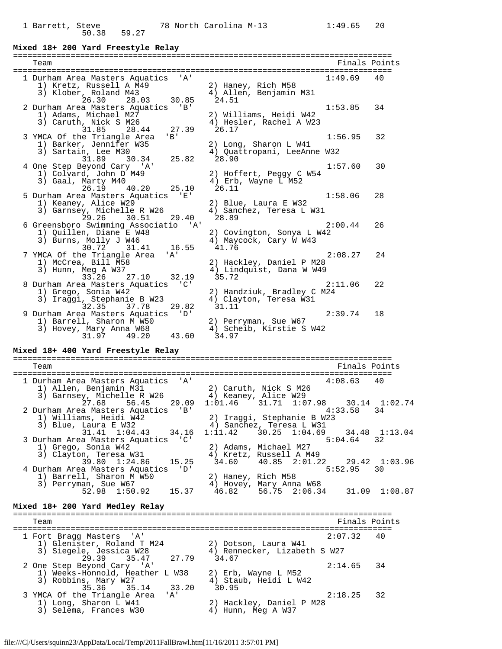# **Mixed 18+ 200 Yard Freestyle Relay**

| Team                                                        |                                                        | Finals Points |
|-------------------------------------------------------------|--------------------------------------------------------|---------------|
| 1 Durham Area Masters Aquatics 'A'                          |                                                        | 1:49.69<br>40 |
| 1) Kretz, Russell A M49                                     | 2) Haney, Rich M58                                     |               |
| 3) Klober, Roland M43                                       | 4) Allen, Benjamin M31                                 |               |
| 26.30<br>28.03<br>30.85                                     | 24.51                                                  |               |
| 2 Durham Area Masters Aquatics 'B'                          |                                                        | 1:53.85<br>34 |
| 1) Adams, Michael M27                                       | 2) Williams, Heidi W42                                 |               |
| 3) Caruth, Nick S M26                                       | 4) Hesler, Rachel A W23                                |               |
| 31.85<br>28.44<br>27.39                                     | 26.17                                                  |               |
| 3 YMCA Of the Triangle Area<br>$'$ B $'$                    |                                                        | 1:56.95<br>32 |
| 1) Barker, Jennifer W35                                     | 2) Long, Sharon L W41                                  |               |
| 3) Sartain, Lee M30                                         | 4) Quattropani, LeeAnne W32                            |               |
| 31.89<br>25.82<br>30.34                                     | 28.90                                                  |               |
| 4 One Step Beyond Cary 'A'                                  |                                                        | 1:57.60<br>30 |
| 1) Colvard, John D M49<br>3) Gaal, Marty M40                | 2) Hoffert, Peggy C W54                                |               |
| 26.19<br>40.20<br>25.10                                     | 4) Erb, Wayne L M52<br>26.11                           |               |
| 5 Durham Area Masters Aquatics 'E'                          |                                                        | 1:58.06<br>28 |
| 1) Keaney, Alice W29                                        | 2) Blue, Laura E W32                                   |               |
| 3) Garnsey, Michelle R W26                                  | 4) Sanchez, Teresa L W31                               |               |
| 29.26<br>30.51<br>29.40                                     | 28.89                                                  |               |
| 6 Greensboro Swimming Associatio 'A'                        |                                                        | 2:00.44<br>26 |
| 1) Quillen, Diane E W48                                     | 2) Covington, Sonya L W42                              |               |
| 3) Burns, Molly J W46                                       | 4) Maycock, Cary W W43                                 |               |
| 30.72 31.41 16.55                                           | 41.76                                                  |               |
| 7 YMCA Of the Triangle Area<br>' A'                         |                                                        | 2:08.27<br>24 |
| 1) McCrea, Bill M58                                         | 2) Hackley, Daniel P M28                               |               |
| 3) Hunn, Meg A W37                                          | 4) Lindquist, Dana W W49                               |               |
| 33.26<br>27.10<br>32.19                                     | 35.72                                                  |               |
| 8 Durham Area Masters Aquatics 'C'                          |                                                        | 2:11.06<br>22 |
| 1) Grego, Sonia W42                                         | 2) Handziuk, Bradley C M24                             |               |
| 3) Iraggi, Stephanie B W23<br>29.82<br>32.35<br>37.78       | 4) Clayton, Teresa W31<br>31.11                        |               |
| 9 Durham Area Masters Aquatics 'D'                          |                                                        | 2:39.74<br>18 |
| 1) Barrell, Sharon M W50                                    | 2) Perryman, Sue W67                                   |               |
| 3) Hovey, Mary Anna W68                                     | 4) Scheib, Kirstie S W42                               |               |
| 49.20 43.60<br>31.97                                        | 34.97                                                  |               |
|                                                             |                                                        |               |
| Mixed 18+ 400 Yard Freestyle Relay                          |                                                        |               |
| Team                                                        |                                                        | Finals Points |
|                                                             |                                                        |               |
| 1 Durham Area Masters Aquatics 'A'                          |                                                        | 4:08.63<br>40 |
| 1) Allen, Benjamin M31                                      | 2) Caruth, Nick S M26                                  |               |
| 3) Garnsey, Michelle R W26                                  | 4) Keaney, Alice W29                                   |               |
| 27.68<br>56.45<br>29.09                                     |                                                        |               |
|                                                             | $1:01.46$ $31.71$ $1:07.98$                            | 30.14 1:02.74 |
| 2 Durham Area Masters Aquatics 'B'                          |                                                        | 4:33.58<br>34 |
| 1) Williams, Heidi W42                                      |                                                        |               |
| 3) Blue, Laura E W32                                        | 2) Iraggi, Stephanie B W23<br>4) Sanchez, Teresa L W31 |               |
| $31.41 \quad 1:04.43$<br>34.16                              | $1:11.42$ 30.25 $1:04.69$                              | 34.48 1:13.04 |
| 3 Durham Area Masters Aquatics 'C'                          |                                                        | 5:04.64<br>32 |
| 1) Grego, Sonia W42                                         | 2) Adams, Michael M27                                  |               |
| 3) Clayton, Teresa W31                                      | 4) Kretz, Russell A M49                                |               |
| 39.80 1:24.86<br>15.25                                      | 34.60<br>40.85 2:01.22                                 | 29.42 1:03.96 |
| 4 Durham Area Masters Aquatics<br>'D'                       |                                                        | 5:52.95<br>30 |
| 1) Barrell, Sharon M W50                                    | 2) Haney, Rich M58                                     |               |
| 3) Perryman, Sue W67<br>52.98 1:50.92<br>15.37              | 4) Hovey, Mary Anna W68<br>46.82                       |               |
|                                                             | 56.75 2:06.34                                          | 31.09 1:08.87 |
| Mixed 18+ 200 Yard Medley Relay                             |                                                        |               |
|                                                             |                                                        |               |
| Team                                                        |                                                        | Finals Points |
|                                                             |                                                        | 40            |
| 1 Fort Bragg Masters 'A'                                    |                                                        | 2:07.32       |
| 1) Glenister, Roland T M24                                  | 2) Dotson, Laura W41                                   |               |
| 3) Siegele, Jessica W28<br>35.47<br>27.79                   | 4) Rennecker, Lizabeth S W27<br>34.67                  |               |
| 29.39                                                       |                                                        | 2:14.65<br>34 |
| 2 One Step Beyond Cary 'A'                                  | 2) Erb, Wayne L M52                                    |               |
| 1) Weeks-Honnold, Heather L W38<br>3) Robbins, Mary W27     | 4) Staub, Heidi L W42                                  |               |
| 35.14<br>33.20<br>35.36                                     | 30.95                                                  |               |
| 3 YMCA Of the Triangle Area<br>'A'<br>1) Long, Sharon L W41 | 2) Hackley, Daniel P M28                               | 2:18.25<br>32 |

3) Selema, Frances W30 4) Hunn, Meg A W37